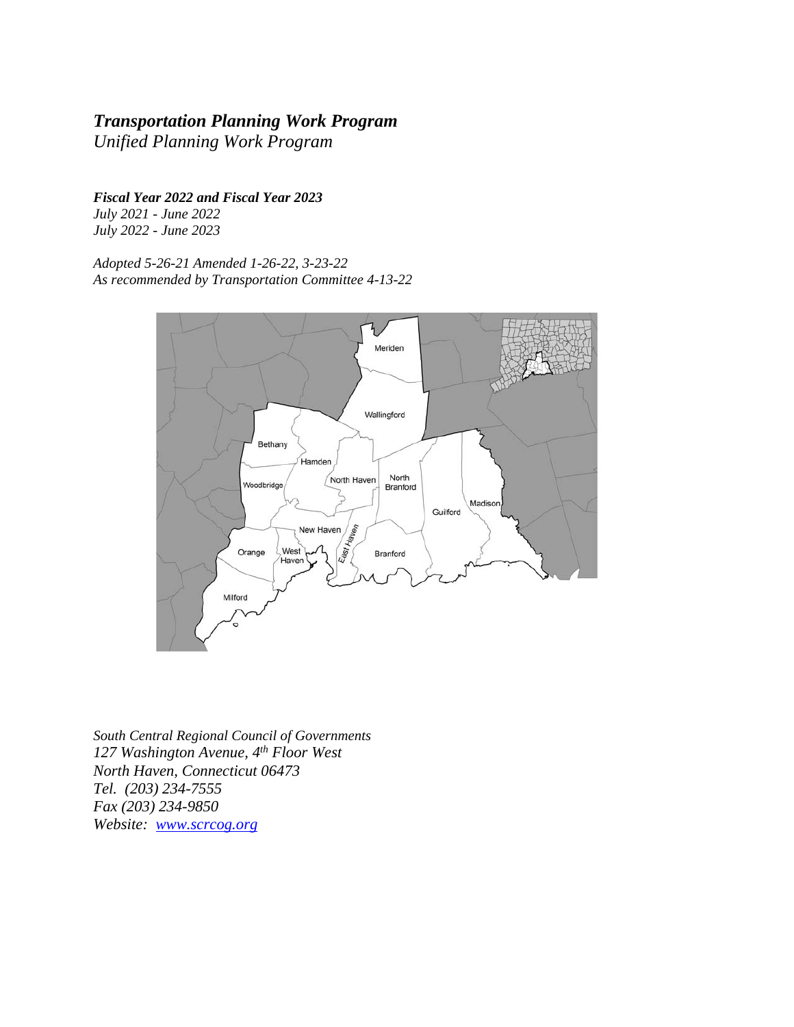### *Transportation Planning Work Program*

*Unified Planning Work Program* 

*Fiscal Year 2022 and Fiscal Year 2023*

*July 2021 - June 2022 July 2022 - June 2023* 

*Adopted 5-26-21 Amended 1-26-22, 3-23-22 As recommended by Transportation Committee 4-13-22* 



*South Central Regional Council of Governments 127 Washington Avenue, 4th Floor West North Haven, Connecticut 06473 Tel. (203) 234-7555 Fax (203) 234-9850 Website: www.scrcog.org*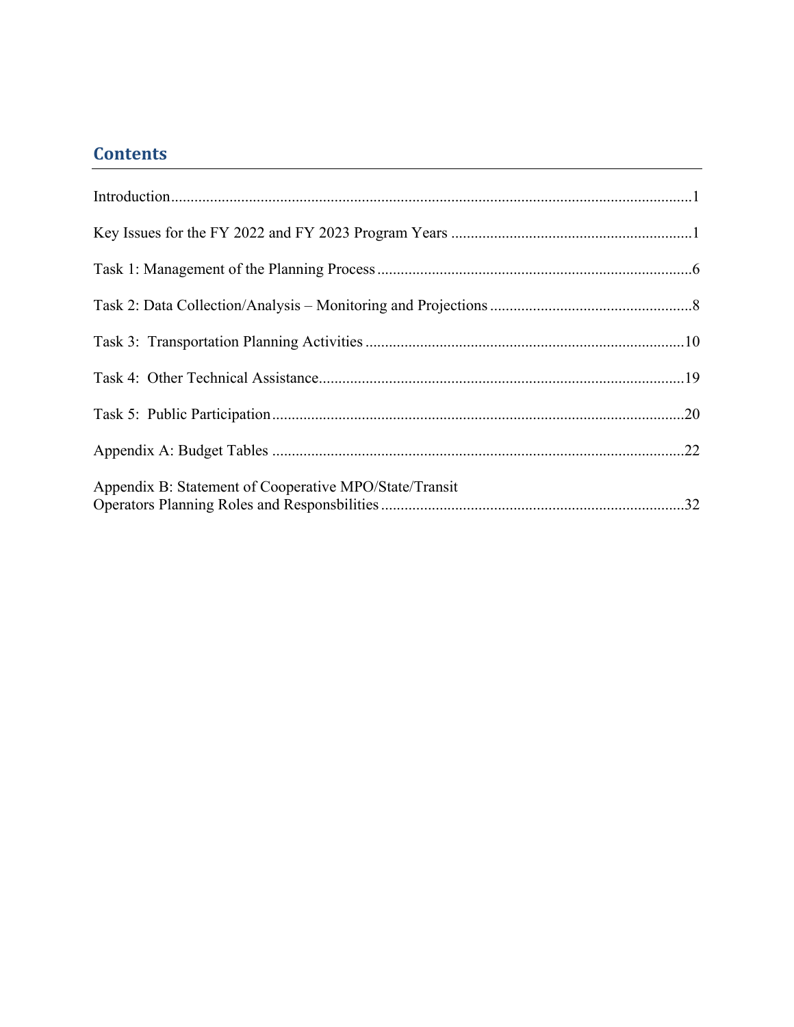## **Contents**

| Appendix B: Statement of Cooperative MPO/State/Transit |
|--------------------------------------------------------|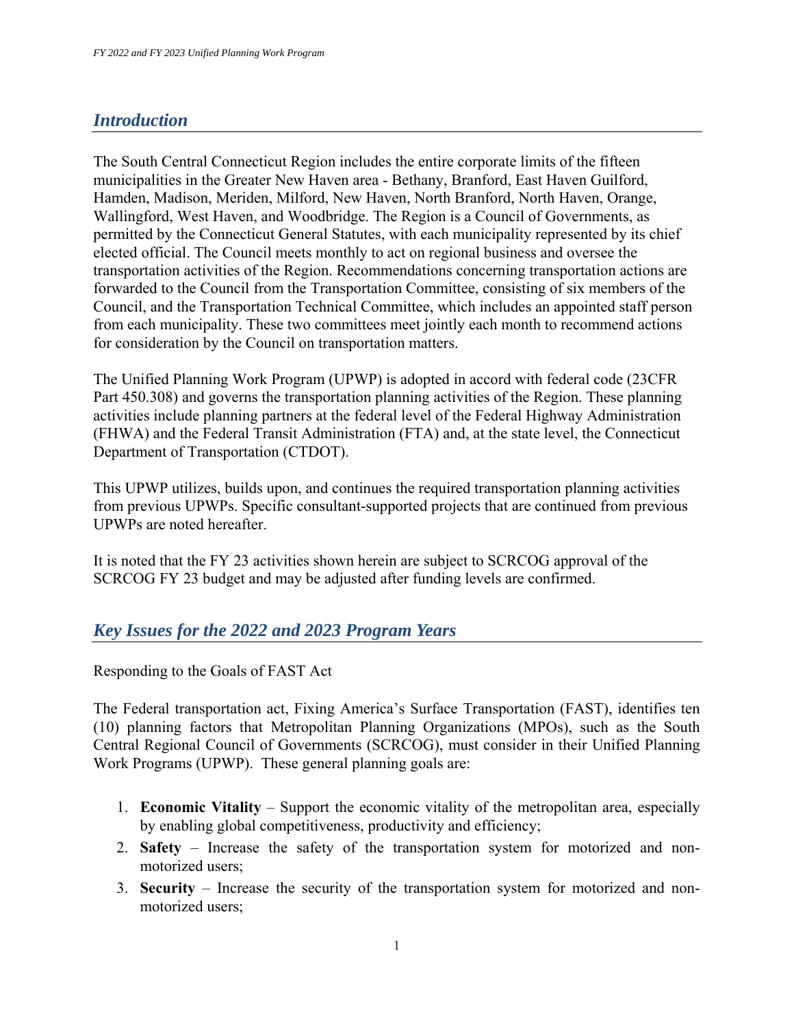## *Introduction*

The South Central Connecticut Region includes the entire corporate limits of the fifteen municipalities in the Greater New Haven area - Bethany, Branford, East Haven Guilford, Hamden, Madison, Meriden, Milford, New Haven, North Branford, North Haven, Orange, Wallingford, West Haven, and Woodbridge. The Region is a Council of Governments, as permitted by the Connecticut General Statutes, with each municipality represented by its chief elected official. The Council meets monthly to act on regional business and oversee the transportation activities of the Region. Recommendations concerning transportation actions are forwarded to the Council from the Transportation Committee, consisting of six members of the Council, and the Transportation Technical Committee, which includes an appointed staff person from each municipality. These two committees meet jointly each month to recommend actions for consideration by the Council on transportation matters.

The Unified Planning Work Program (UPWP) is adopted in accord with federal code (23CFR Part 450.308) and governs the transportation planning activities of the Region. These planning activities include planning partners at the federal level of the Federal Highway Administration (FHWA) and the Federal Transit Administration (FTA) and, at the state level, the Connecticut Department of Transportation (CTDOT).

This UPWP utilizes, builds upon, and continues the required transportation planning activities from previous UPWPs. Specific consultant-supported projects that are continued from previous UPWPs are noted hereafter.

It is noted that the FY 23 activities shown herein are subject to SCRCOG approval of the SCRCOG FY 23 budget and may be adjusted after funding levels are confirmed.

### *Key Issues for the 2022 and 2023 Program Years*

Responding to the Goals of FAST Act

The Federal transportation act, Fixing America's Surface Transportation (FAST), identifies ten (10) planning factors that Metropolitan Planning Organizations (MPOs), such as the South Central Regional Council of Governments (SCRCOG), must consider in their Unified Planning Work Programs (UPWP). These general planning goals are:

- 1. **Economic Vitality**  Support the economic vitality of the metropolitan area, especially by enabling global competitiveness, productivity and efficiency;
- 2. **Safety**  Increase the safety of the transportation system for motorized and nonmotorized users;
- 3. **Security**  Increase the security of the transportation system for motorized and nonmotorized users;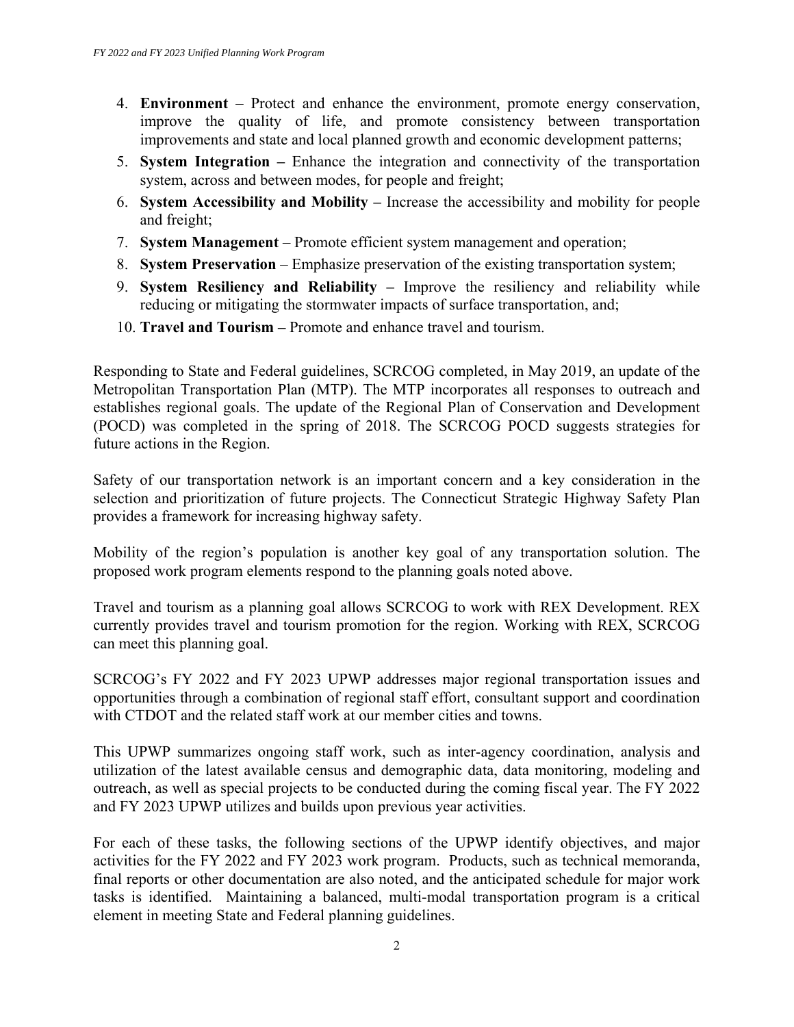- 4. **Environment** Protect and enhance the environment, promote energy conservation, improve the quality of life, and promote consistency between transportation improvements and state and local planned growth and economic development patterns;
- 5. **System Integration** Enhance the integration and connectivity of the transportation system, across and between modes, for people and freight;
- 6. **System Accessibility and Mobility** Increase the accessibility and mobility for people and freight;
- 7. **System Management**  Promote efficient system management and operation;
- 8. **System Preservation** Emphasize preservation of the existing transportation system;
- 9. **System Resiliency and Reliability** Improve the resiliency and reliability while reducing or mitigating the stormwater impacts of surface transportation, and;
- 10. **Travel and Tourism** Promote and enhance travel and tourism.

Responding to State and Federal guidelines, SCRCOG completed, in May 2019, an update of the Metropolitan Transportation Plan (MTP). The MTP incorporates all responses to outreach and establishes regional goals. The update of the Regional Plan of Conservation and Development (POCD) was completed in the spring of 2018. The SCRCOG POCD suggests strategies for future actions in the Region.

Safety of our transportation network is an important concern and a key consideration in the selection and prioritization of future projects. The Connecticut Strategic Highway Safety Plan provides a framework for increasing highway safety.

Mobility of the region's population is another key goal of any transportation solution. The proposed work program elements respond to the planning goals noted above.

Travel and tourism as a planning goal allows SCRCOG to work with REX Development. REX currently provides travel and tourism promotion for the region. Working with REX, SCRCOG can meet this planning goal.

SCRCOG's FY 2022 and FY 2023 UPWP addresses major regional transportation issues and opportunities through a combination of regional staff effort, consultant support and coordination with CTDOT and the related staff work at our member cities and towns.

This UPWP summarizes ongoing staff work, such as inter-agency coordination, analysis and utilization of the latest available census and demographic data, data monitoring, modeling and outreach, as well as special projects to be conducted during the coming fiscal year. The FY 2022 and FY 2023 UPWP utilizes and builds upon previous year activities.

For each of these tasks, the following sections of the UPWP identify objectives, and major activities for the FY 2022 and FY 2023 work program. Products, such as technical memoranda, final reports or other documentation are also noted, and the anticipated schedule for major work tasks is identified. Maintaining a balanced, multi-modal transportation program is a critical element in meeting State and Federal planning guidelines.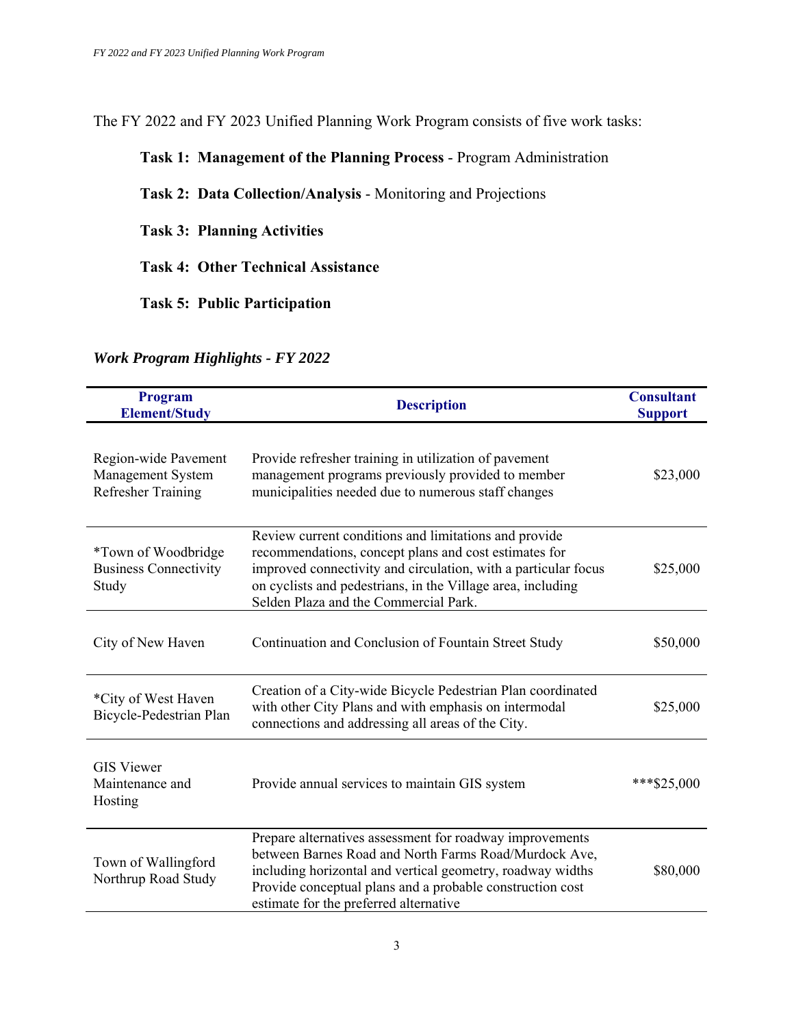The FY 2022 and FY 2023 Unified Planning Work Program consists of five work tasks:

### **Task 1: Management of the Planning Process** - Program Administration

**Task 2: Data Collection/Analysis** - Monitoring and Projections

**Task 3: Planning Activities** 

**Task 4: Other Technical Assistance** 

**Task 5: Public Participation** 

#### *Work Program Highlights - FY 2022*

| Program<br><b>Element/Study</b>                                        | <b>Description</b>                                                                                                                                                                                                                                                                       | <b>Consultant</b><br><b>Support</b> |
|------------------------------------------------------------------------|------------------------------------------------------------------------------------------------------------------------------------------------------------------------------------------------------------------------------------------------------------------------------------------|-------------------------------------|
| Region-wide Pavement<br>Management System<br><b>Refresher Training</b> | Provide refresher training in utilization of pavement<br>management programs previously provided to member<br>municipalities needed due to numerous staff changes                                                                                                                        | \$23,000                            |
| *Town of Woodbridge<br><b>Business Connectivity</b><br>Study           | Review current conditions and limitations and provide<br>recommendations, concept plans and cost estimates for<br>improved connectivity and circulation, with a particular focus<br>on cyclists and pedestrians, in the Village area, including<br>Selden Plaza and the Commercial Park. | \$25,000                            |
| City of New Haven                                                      | Continuation and Conclusion of Fountain Street Study                                                                                                                                                                                                                                     | \$50,000                            |
| *City of West Haven<br>Bicycle-Pedestrian Plan                         | Creation of a City-wide Bicycle Pedestrian Plan coordinated<br>with other City Plans and with emphasis on intermodal<br>connections and addressing all areas of the City.                                                                                                                | \$25,000                            |
| <b>GIS Viewer</b><br>Maintenance and<br>Hosting                        | Provide annual services to maintain GIS system                                                                                                                                                                                                                                           | ***\$25,000                         |
| Town of Wallingford<br>Northrup Road Study                             | Prepare alternatives assessment for roadway improvements<br>between Barnes Road and North Farms Road/Murdock Ave,<br>including horizontal and vertical geometry, roadway widths<br>Provide conceptual plans and a probable construction cost<br>estimate for the preferred alternative   | \$80,000                            |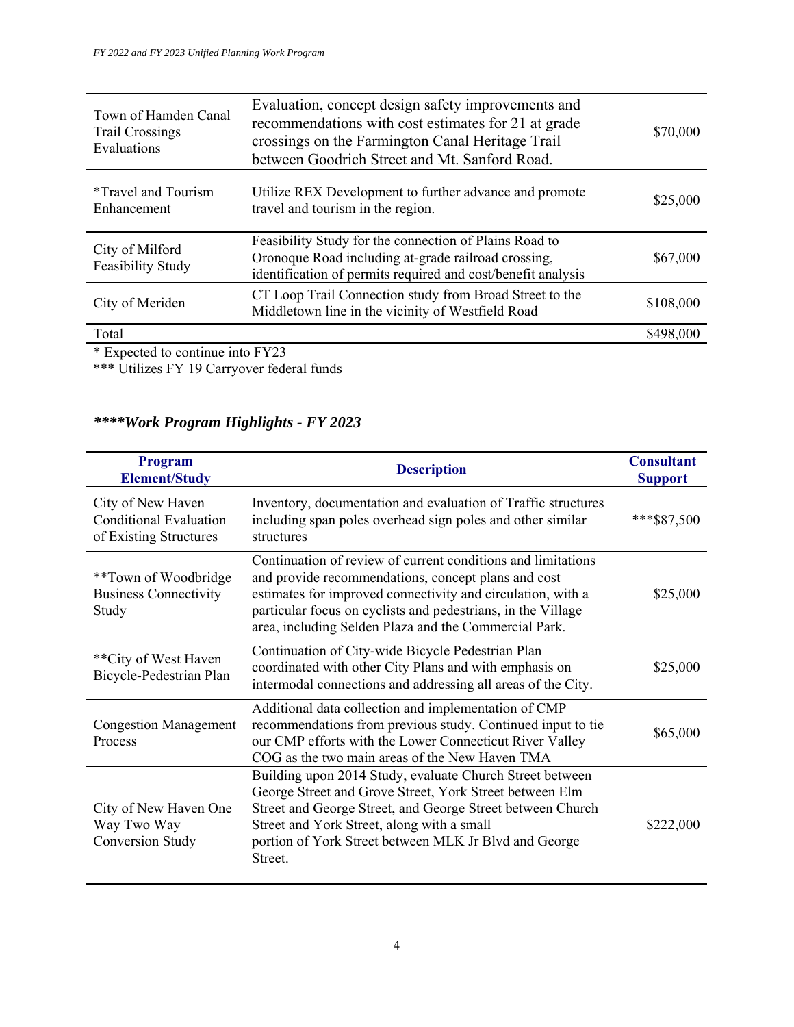| Town of Hamden Canal<br><b>Trail Crossings</b><br>Evaluations | Evaluation, concept design safety improvements and<br>recommendations with cost estimates for 21 at grade<br>crossings on the Farmington Canal Heritage Trail<br>between Goodrich Street and Mt. Sanford Road. | \$70,000  |
|---------------------------------------------------------------|----------------------------------------------------------------------------------------------------------------------------------------------------------------------------------------------------------------|-----------|
| <i>*Travel and Tourism</i><br>Enhancement                     | Utilize REX Development to further advance and promote<br>travel and tourism in the region.                                                                                                                    | \$25,000  |
| City of Milford<br>Feasibility Study                          | Feasibility Study for the connection of Plains Road to<br>Oronoque Road including at-grade railroad crossing,<br>identification of permits required and cost/benefit analysis                                  | \$67,000  |
| City of Meriden                                               | CT Loop Trail Connection study from Broad Street to the<br>Middletown line in the vicinity of Westfield Road                                                                                                   | \$108,000 |
| Total                                                         |                                                                                                                                                                                                                | \$498,000 |
| * Expected to continue into FY23                              |                                                                                                                                                                                                                |           |

\*\*\* Utilizes FY 19 Carryover federal funds

## *\*\*\*\*Work Program Highlights - FY 2023*

| Program<br><b>Element/Study</b>                                              | <b>Description</b>                                                                                                                                                                                                                                                                                          | <b>Consultant</b><br><b>Support</b> |
|------------------------------------------------------------------------------|-------------------------------------------------------------------------------------------------------------------------------------------------------------------------------------------------------------------------------------------------------------------------------------------------------------|-------------------------------------|
| City of New Haven<br><b>Conditional Evaluation</b><br>of Existing Structures | Inventory, documentation and evaluation of Traffic structures<br>including span poles overhead sign poles and other similar<br>structures                                                                                                                                                                   | ***\$87,500                         |
| **Town of Woodbridge<br><b>Business Connectivity</b><br>Study                | Continuation of review of current conditions and limitations<br>and provide recommendations, concept plans and cost<br>estimates for improved connectivity and circulation, with a<br>particular focus on cyclists and pedestrians, in the Village<br>area, including Selden Plaza and the Commercial Park. | \$25,000                            |
| **City of West Haven<br>Bicycle-Pedestrian Plan                              | Continuation of City-wide Bicycle Pedestrian Plan<br>coordinated with other City Plans and with emphasis on<br>intermodal connections and addressing all areas of the City.                                                                                                                                 | \$25,000                            |
| <b>Congestion Management</b><br>Process                                      | Additional data collection and implementation of CMP<br>recommendations from previous study. Continued input to tie<br>our CMP efforts with the Lower Connecticut River Valley<br>COG as the two main areas of the New Haven TMA                                                                            | \$65,000                            |
| City of New Haven One<br>Way Two Way<br>Conversion Study                     | Building upon 2014 Study, evaluate Church Street between<br>George Street and Grove Street, York Street between Elm<br>Street and George Street, and George Street between Church<br>Street and York Street, along with a small<br>portion of York Street between MLK Jr Blvd and George<br>Street.         | \$222,000                           |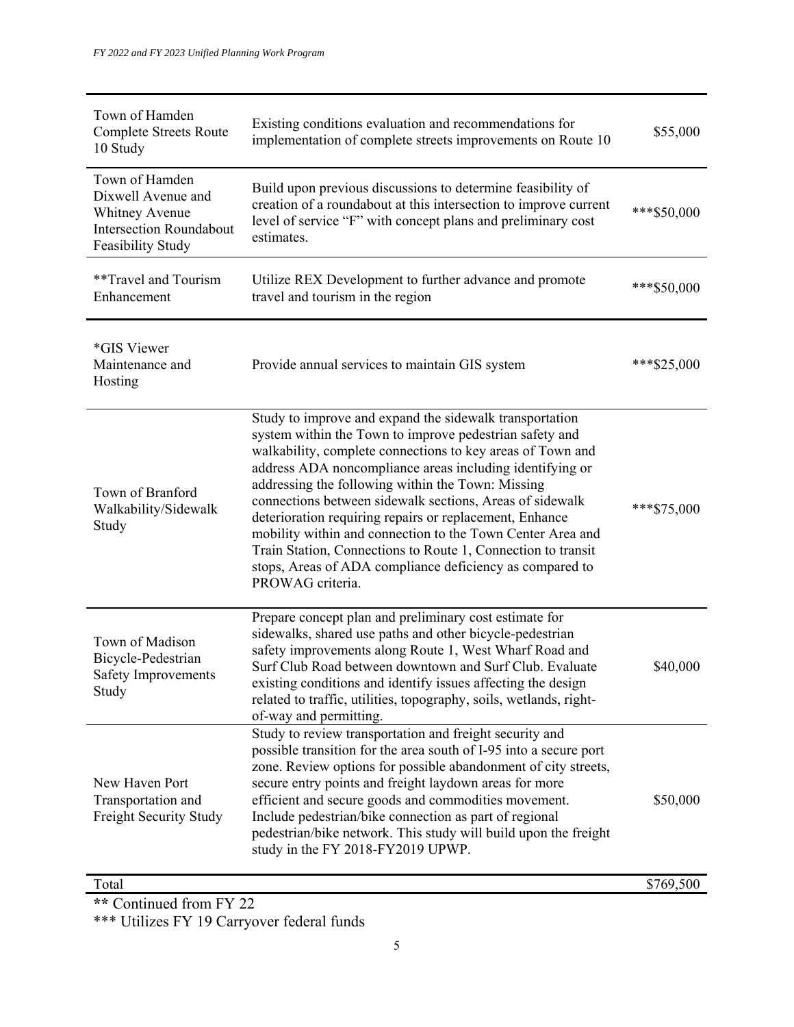| Town of Hamden<br><b>Complete Streets Route</b><br>10 Study                                                   | Existing conditions evaluation and recommendations for<br>implementation of complete streets improvements on Route 10                                                                                                                                                                                                                                                                                                                                                                                                                                                                                                                  | \$55,000     |
|---------------------------------------------------------------------------------------------------------------|----------------------------------------------------------------------------------------------------------------------------------------------------------------------------------------------------------------------------------------------------------------------------------------------------------------------------------------------------------------------------------------------------------------------------------------------------------------------------------------------------------------------------------------------------------------------------------------------------------------------------------------|--------------|
| Town of Hamden<br>Dixwell Avenue and<br>Whitney Avenue<br><b>Intersection Roundabout</b><br>Feasibility Study | Build upon previous discussions to determine feasibility of<br>creation of a roundabout at this intersection to improve current<br>level of service "F" with concept plans and preliminary cost<br>estimates.                                                                                                                                                                                                                                                                                                                                                                                                                          | *** \$50,000 |
| **Travel and Tourism<br>Enhancement                                                                           | Utilize REX Development to further advance and promote<br>travel and tourism in the region                                                                                                                                                                                                                                                                                                                                                                                                                                                                                                                                             | *** \$50,000 |
| *GIS Viewer<br>Maintenance and<br>Hosting                                                                     | Provide annual services to maintain GIS system                                                                                                                                                                                                                                                                                                                                                                                                                                                                                                                                                                                         | *** \$25,000 |
| Town of Branford<br>Walkability/Sidewalk<br>Study                                                             | Study to improve and expand the sidewalk transportation<br>system within the Town to improve pedestrian safety and<br>walkability, complete connections to key areas of Town and<br>address ADA noncompliance areas including identifying or<br>addressing the following within the Town: Missing<br>connections between sidewalk sections, Areas of sidewalk<br>deterioration requiring repairs or replacement, Enhance<br>mobility within and connection to the Town Center Area and<br>Train Station, Connections to Route 1, Connection to transit<br>stops, Areas of ADA compliance deficiency as compared to<br>PROWAG criteria. | *** \$75,000 |
| Town of Madison<br>Bicycle-Pedestrian<br>Safety Improvements<br>Study                                         | Prepare concept plan and preliminary cost estimate for<br>sidewalks, shared use paths and other bicycle-pedestrian<br>safety improvements along Route 1, West Wharf Road and<br>Surf Club Road between downtown and Surf Club. Evaluate<br>existing conditions and identify issues affecting the design<br>related to traffic, utilities, topography, soils, wetlands, right-<br>of-way and permitting.                                                                                                                                                                                                                                | \$40,000     |
| New Haven Port<br>Transportation and<br>Freight Security Study                                                | Study to review transportation and freight security and<br>possible transition for the area south of I-95 into a secure port<br>zone. Review options for possible abandonment of city streets,<br>secure entry points and freight laydown areas for more<br>efficient and secure goods and commodities movement.<br>Include pedestrian/bike connection as part of regional<br>pedestrian/bike network. This study will build upon the freight<br>study in the FY 2018-FY2019 UPWP.                                                                                                                                                     | \$50,000     |

Total \$769,500

**\*\*** Continued from FY 22

\*\*\* Utilizes FY 19 Carryover federal funds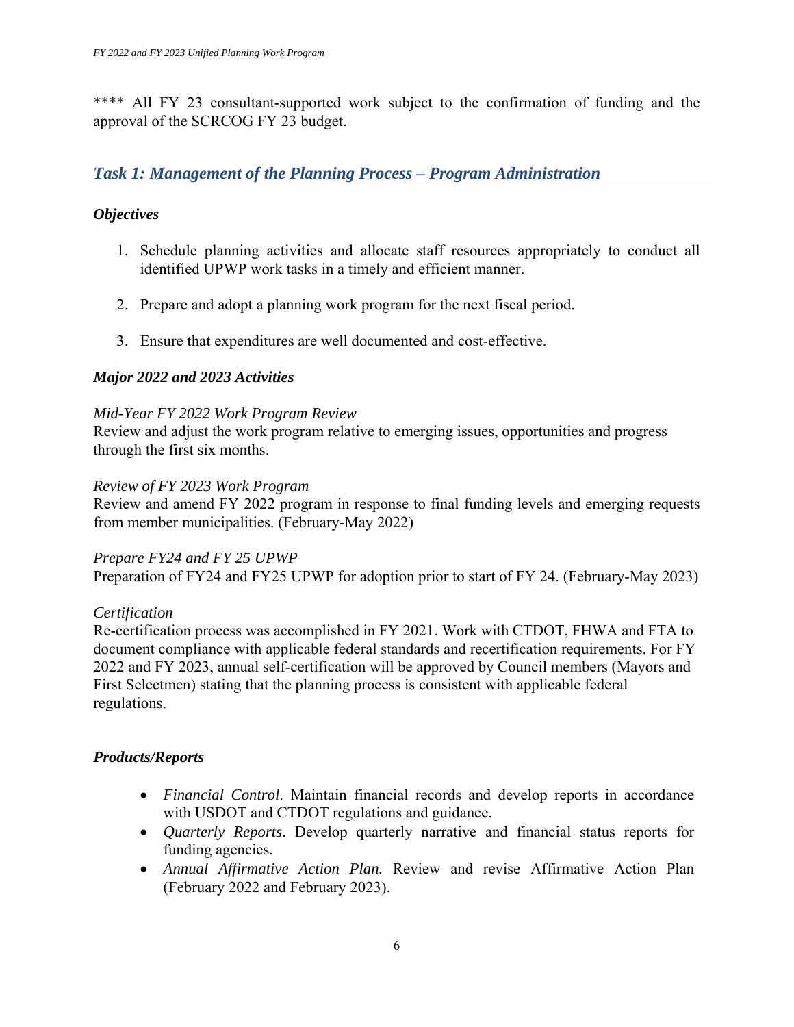\*\*\*\* All FY 23 consultant-supported work subject to the confirmation of funding and the approval of the SCRCOG FY 23 budget.

## *Task 1: Management of the Planning Process – Program Administration*

### *Objectives*

- 1. Schedule planning activities and allocate staff resources appropriately to conduct all identified UPWP work tasks in a timely and efficient manner.
- 2. Prepare and adopt a planning work program for the next fiscal period.
- 3. Ensure that expenditures are well documented and cost-effective.

### *Major 2022 and 2023 Activities*

#### *Mid-Year FY 2022 Work Program Review*

Review and adjust the work program relative to emerging issues, opportunities and progress through the first six months.

#### *Review of FY 2023 Work Program*

Review and amend FY 2022 program in response to final funding levels and emerging requests from member municipalities. (February-May 2022)

#### *Prepare FY24 and FY 25 UPWP*

Preparation of FY24 and FY25 UPWP for adoption prior to start of FY 24. (February-May 2023)

#### *Certification*

Re-certification process was accomplished in FY 2021. Work with CTDOT, FHWA and FTA to document compliance with applicable federal standards and recertification requirements. For FY 2022 and FY 2023, annual self-certification will be approved by Council members (Mayors and First Selectmen) stating that the planning process is consistent with applicable federal regulations.

#### *Products/Reports*

- *Financial Control*. Maintain financial records and develop reports in accordance with USDOT and CTDOT regulations and guidance.
- *Quarterly Reports*. Develop quarterly narrative and financial status reports for funding agencies.
- *Annual Affirmative Action Plan.* Review and revise Affirmative Action Plan (February 2022 and February 2023).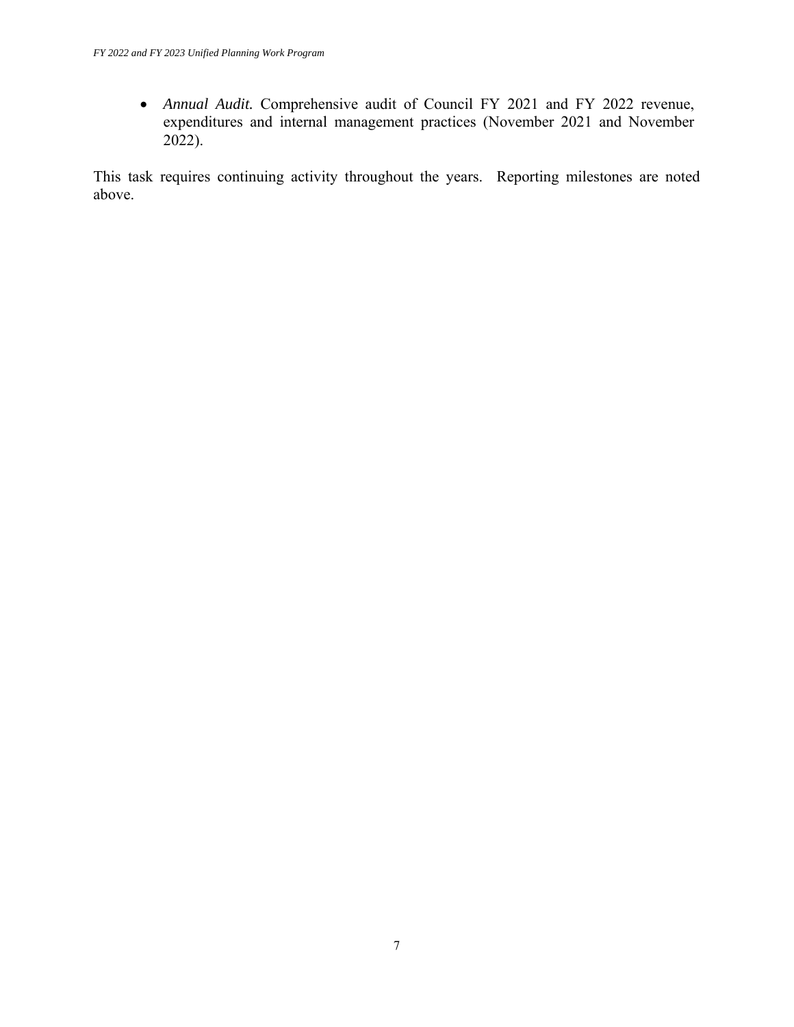*Annual Audit.* Comprehensive audit of Council FY 2021 and FY 2022 revenue, expenditures and internal management practices (November 2021 and November 2022).

This task requires continuing activity throughout the years. Reporting milestones are noted above.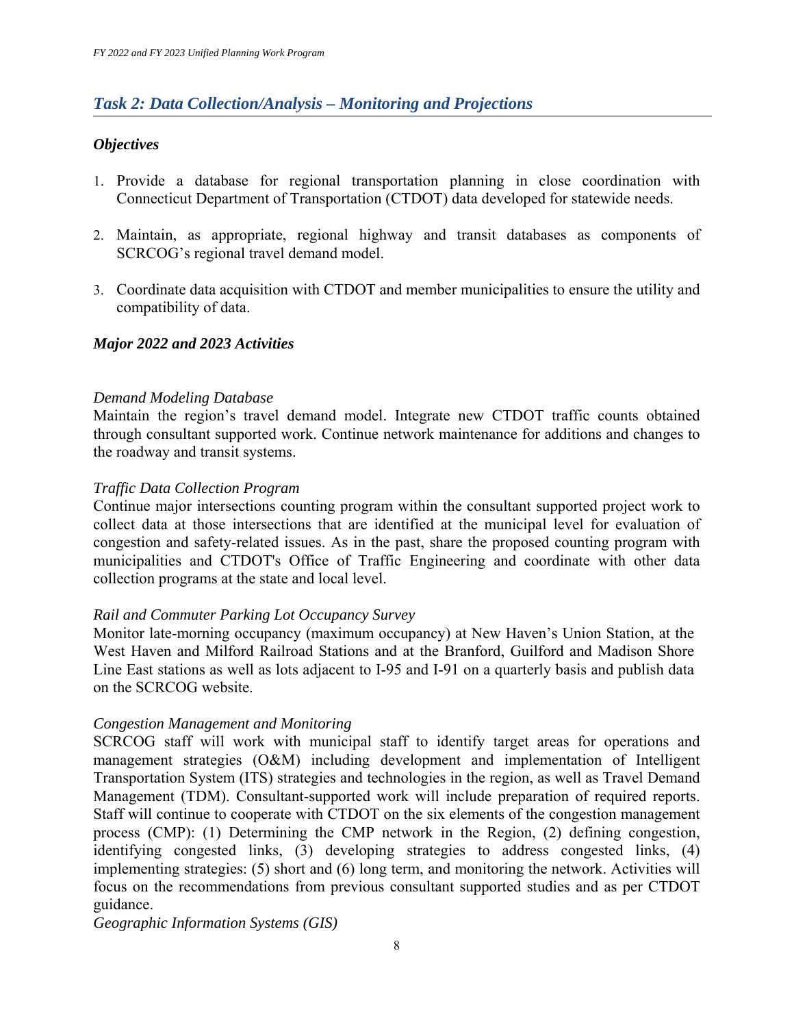### *Task 2: Data Collection/Analysis – Monitoring and Projections*

#### *Objectives*

- 1. Provide a database for regional transportation planning in close coordination with Connecticut Department of Transportation (CTDOT) data developed for statewide needs.
- 2. Maintain, as appropriate, regional highway and transit databases as components of SCRCOG's regional travel demand model.
- 3. Coordinate data acquisition with CTDOT and member municipalities to ensure the utility and compatibility of data.

#### *Major 2022 and 2023 Activities*

#### *Demand Modeling Database*

Maintain the region's travel demand model. Integrate new CTDOT traffic counts obtained through consultant supported work. Continue network maintenance for additions and changes to the roadway and transit systems.

#### *Traffic Data Collection Program*

Continue major intersections counting program within the consultant supported project work to collect data at those intersections that are identified at the municipal level for evaluation of congestion and safety-related issues. As in the past, share the proposed counting program with municipalities and CTDOT's Office of Traffic Engineering and coordinate with other data collection programs at the state and local level.

#### *Rail and Commuter Parking Lot Occupancy Survey*

Monitor late-morning occupancy (maximum occupancy) at New Haven's Union Station, at the West Haven and Milford Railroad Stations and at the Branford, Guilford and Madison Shore Line East stations as well as lots adjacent to I-95 and I-91 on a quarterly basis and publish data on the SCRCOG website.

#### *Congestion Management and Monitoring*

SCRCOG staff will work with municipal staff to identify target areas for operations and management strategies (O&M) including development and implementation of Intelligent Transportation System (ITS) strategies and technologies in the region, as well as Travel Demand Management (TDM). Consultant-supported work will include preparation of required reports. Staff will continue to cooperate with CTDOT on the six elements of the congestion management process (CMP): (1) Determining the CMP network in the Region, (2) defining congestion, identifying congested links, (3) developing strategies to address congested links, (4) implementing strategies: (5) short and (6) long term, and monitoring the network. Activities will focus on the recommendations from previous consultant supported studies and as per CTDOT guidance.

*Geographic Information Systems (GIS)*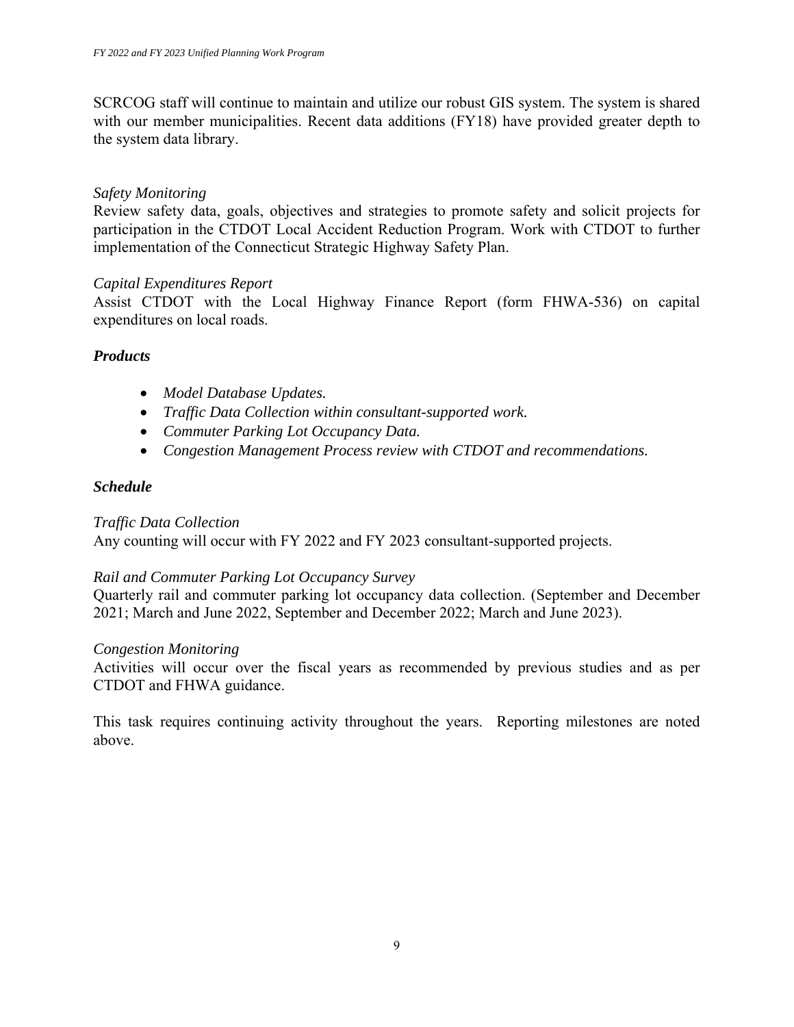SCRCOG staff will continue to maintain and utilize our robust GIS system. The system is shared with our member municipalities. Recent data additions (FY18) have provided greater depth to the system data library.

#### *Safety Monitoring*

Review safety data, goals, objectives and strategies to promote safety and solicit projects for participation in the CTDOT Local Accident Reduction Program. Work with CTDOT to further implementation of the Connecticut Strategic Highway Safety Plan.

#### *Capital Expenditures Report*

Assist CTDOT with the Local Highway Finance Report (form FHWA-536) on capital expenditures on local roads.

#### *Products*

- *Model Database Updates.*
- *Traffic Data Collection within consultant-supported work.*
- *Commuter Parking Lot Occupancy Data.*
- *Congestion Management Process review with CTDOT and recommendations.*

#### *Schedule*

#### *Traffic Data Collection*

Any counting will occur with FY 2022 and FY 2023 consultant-supported projects.

#### *Rail and Commuter Parking Lot Occupancy Survey*

Quarterly rail and commuter parking lot occupancy data collection. (September and December 2021; March and June 2022, September and December 2022; March and June 2023).

#### *Congestion Monitoring*

Activities will occur over the fiscal years as recommended by previous studies and as per CTDOT and FHWA guidance.

This task requires continuing activity throughout the years. Reporting milestones are noted above.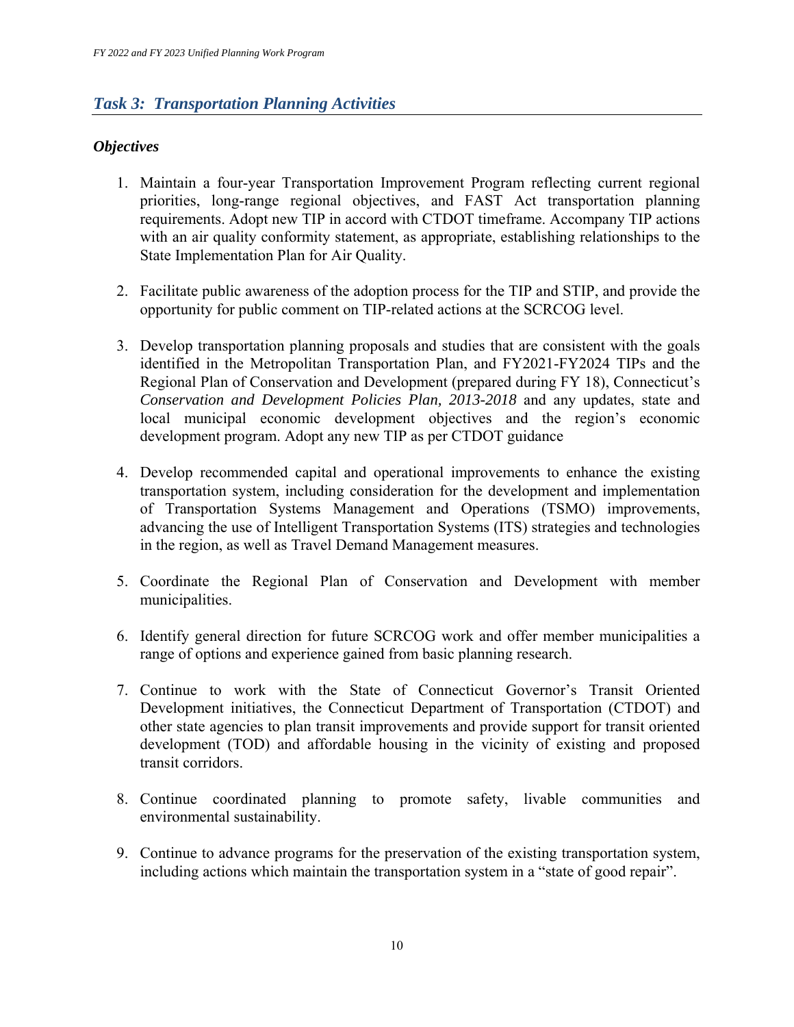### *Task 3: Transportation Planning Activities*

### *Objectives*

- 1. Maintain a four-year Transportation Improvement Program reflecting current regional priorities, long-range regional objectives, and FAST Act transportation planning requirements. Adopt new TIP in accord with CTDOT timeframe. Accompany TIP actions with an air quality conformity statement, as appropriate, establishing relationships to the State Implementation Plan for Air Quality.
- 2. Facilitate public awareness of the adoption process for the TIP and STIP, and provide the opportunity for public comment on TIP-related actions at the SCRCOG level.
- 3. Develop transportation planning proposals and studies that are consistent with the goals identified in the Metropolitan Transportation Plan, and FY2021-FY2024 TIPs and the Regional Plan of Conservation and Development (prepared during FY 18), Connecticut's *Conservation and Development Policies Plan, 2013-2018* and any updates, state and local municipal economic development objectives and the region's economic development program. Adopt any new TIP as per CTDOT guidance
- 4. Develop recommended capital and operational improvements to enhance the existing transportation system, including consideration for the development and implementation of Transportation Systems Management and Operations (TSMO) improvements, advancing the use of Intelligent Transportation Systems (ITS) strategies and technologies in the region, as well as Travel Demand Management measures.
- 5. Coordinate the Regional Plan of Conservation and Development with member municipalities.
- 6. Identify general direction for future SCRCOG work and offer member municipalities a range of options and experience gained from basic planning research.
- 7. Continue to work with the State of Connecticut Governor's Transit Oriented Development initiatives, the Connecticut Department of Transportation (CTDOT) and other state agencies to plan transit improvements and provide support for transit oriented development (TOD) and affordable housing in the vicinity of existing and proposed transit corridors.
- 8. Continue coordinated planning to promote safety, livable communities and environmental sustainability.
- 9. Continue to advance programs for the preservation of the existing transportation system, including actions which maintain the transportation system in a "state of good repair".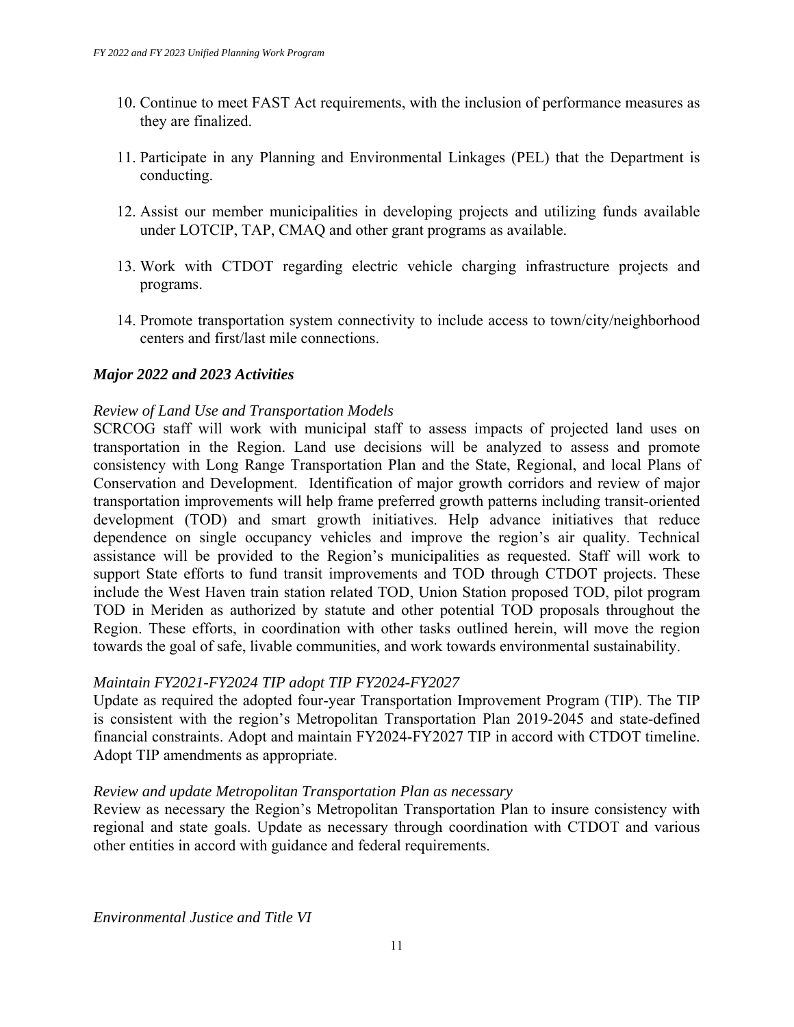- 10. Continue to meet FAST Act requirements, with the inclusion of performance measures as they are finalized.
- 11. Participate in any Planning and Environmental Linkages (PEL) that the Department is conducting.
- 12. Assist our member municipalities in developing projects and utilizing funds available under LOTCIP, TAP, CMAQ and other grant programs as available.
- 13. Work with CTDOT regarding electric vehicle charging infrastructure projects and programs.
- 14. Promote transportation system connectivity to include access to town/city/neighborhood centers and first/last mile connections.

#### *Major 2022 and 2023 Activities*

#### *Review of Land Use and Transportation Models*

SCRCOG staff will work with municipal staff to assess impacts of projected land uses on transportation in the Region. Land use decisions will be analyzed to assess and promote consistency with Long Range Transportation Plan and the State, Regional, and local Plans of Conservation and Development. Identification of major growth corridors and review of major transportation improvements will help frame preferred growth patterns including transit-oriented development (TOD) and smart growth initiatives. Help advance initiatives that reduce dependence on single occupancy vehicles and improve the region's air quality. Technical assistance will be provided to the Region's municipalities as requested. Staff will work to support State efforts to fund transit improvements and TOD through CTDOT projects. These include the West Haven train station related TOD, Union Station proposed TOD, pilot program TOD in Meriden as authorized by statute and other potential TOD proposals throughout the Region. These efforts, in coordination with other tasks outlined herein, will move the region towards the goal of safe, livable communities, and work towards environmental sustainability.

#### *Maintain FY2021-FY2024 TIP adopt TIP FY2024-FY2027*

Update as required the adopted four-year Transportation Improvement Program (TIP). The TIP is consistent with the region's Metropolitan Transportation Plan 2019-2045 and state-defined financial constraints. Adopt and maintain FY2024-FY2027 TIP in accord with CTDOT timeline. Adopt TIP amendments as appropriate.

#### *Review and update Metropolitan Transportation Plan as necessary*

Review as necessary the Region's Metropolitan Transportation Plan to insure consistency with regional and state goals. Update as necessary through coordination with CTDOT and various other entities in accord with guidance and federal requirements.

*Environmental Justice and Title VI*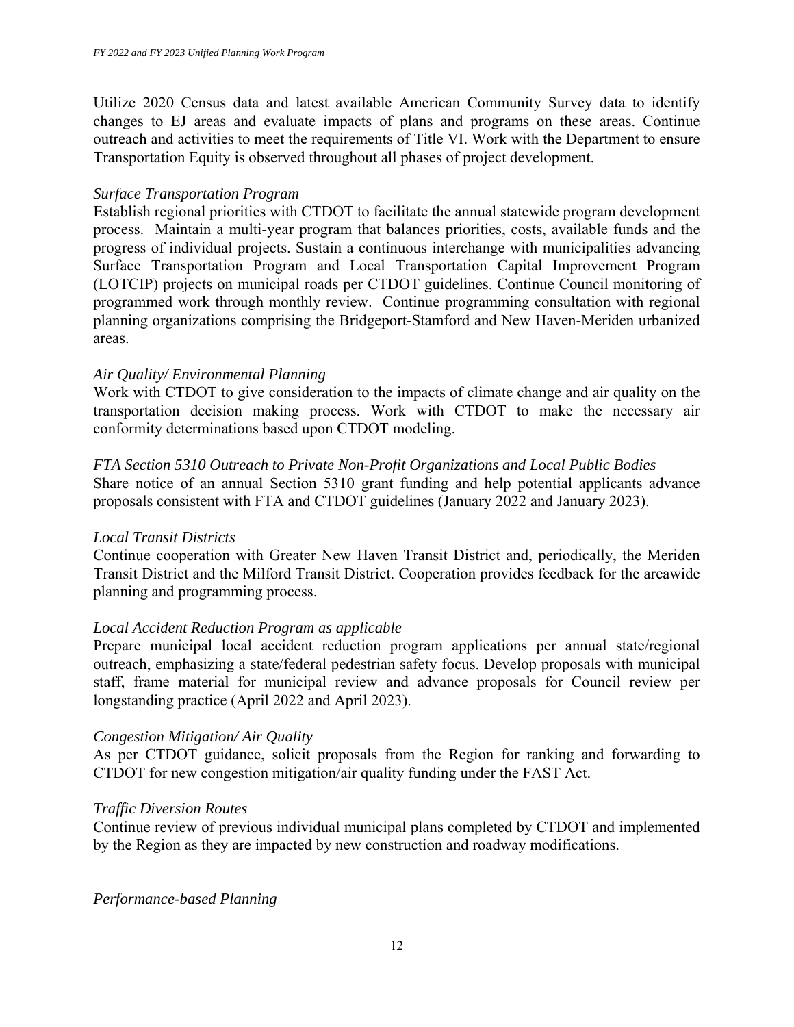Utilize 2020 Census data and latest available American Community Survey data to identify changes to EJ areas and evaluate impacts of plans and programs on these areas. Continue outreach and activities to meet the requirements of Title VI. Work with the Department to ensure Transportation Equity is observed throughout all phases of project development.

#### *Surface Transportation Program*

Establish regional priorities with CTDOT to facilitate the annual statewide program development process. Maintain a multi-year program that balances priorities, costs, available funds and the progress of individual projects. Sustain a continuous interchange with municipalities advancing Surface Transportation Program and Local Transportation Capital Improvement Program (LOTCIP) projects on municipal roads per CTDOT guidelines. Continue Council monitoring of programmed work through monthly review. Continue programming consultation with regional planning organizations comprising the Bridgeport-Stamford and New Haven-Meriden urbanized areas.

#### *Air Quality/ Environmental Planning*

Work with CTDOT to give consideration to the impacts of climate change and air quality on the transportation decision making process. Work with CTDOT to make the necessary air conformity determinations based upon CTDOT modeling.

#### *FTA Section 5310 Outreach to Private Non-Profit Organizations and Local Public Bodies*

Share notice of an annual Section 5310 grant funding and help potential applicants advance proposals consistent with FTA and CTDOT guidelines (January 2022 and January 2023).

#### *Local Transit Districts*

Continue cooperation with Greater New Haven Transit District and, periodically, the Meriden Transit District and the Milford Transit District. Cooperation provides feedback for the areawide planning and programming process.

#### *Local Accident Reduction Program as applicable*

Prepare municipal local accident reduction program applications per annual state/regional outreach, emphasizing a state/federal pedestrian safety focus. Develop proposals with municipal staff, frame material for municipal review and advance proposals for Council review per longstanding practice (April 2022 and April 2023).

#### *Congestion Mitigation/ Air Quality*

As per CTDOT guidance, solicit proposals from the Region for ranking and forwarding to CTDOT for new congestion mitigation/air quality funding under the FAST Act.

#### *Traffic Diversion Routes*

Continue review of previous individual municipal plans completed by CTDOT and implemented by the Region as they are impacted by new construction and roadway modifications.

*Performance-based Planning*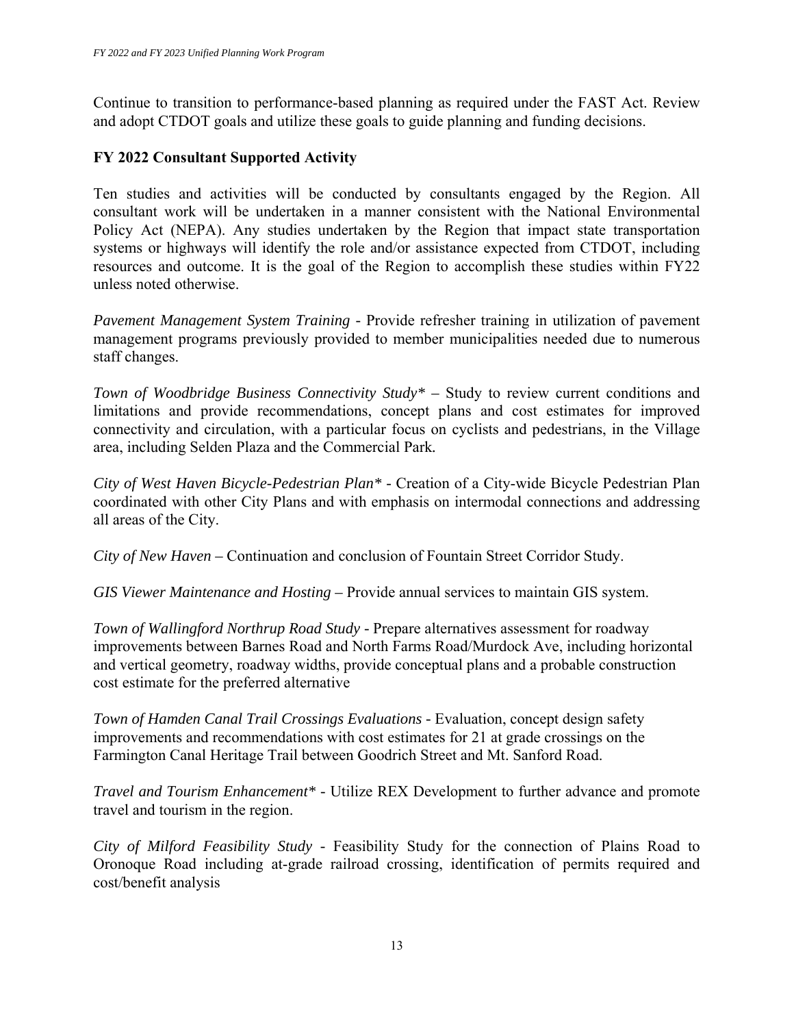Continue to transition to performance-based planning as required under the FAST Act. Review and adopt CTDOT goals and utilize these goals to guide planning and funding decisions.

#### **FY 2022 Consultant Supported Activity**

Ten studies and activities will be conducted by consultants engaged by the Region. All consultant work will be undertaken in a manner consistent with the National Environmental Policy Act (NEPA). Any studies undertaken by the Region that impact state transportation systems or highways will identify the role and/or assistance expected from CTDOT, including resources and outcome. It is the goal of the Region to accomplish these studies within FY22 unless noted otherwise.

*Pavement Management System Training -* Provide refresher training in utilization of pavement management programs previously provided to member municipalities needed due to numerous staff changes.

*Town of Woodbridge Business Connectivity Study\** – Study to review current conditions and limitations and provide recommendations, concept plans and cost estimates for improved connectivity and circulation, with a particular focus on cyclists and pedestrians, in the Village area, including Selden Plaza and the Commercial Park*.* 

*City of West Haven Bicycle-Pedestrian Plan\* -* Creation of a City-wide Bicycle Pedestrian Plan coordinated with other City Plans and with emphasis on intermodal connections and addressing all areas of the City.

*City of New Haven –* Continuation and conclusion of Fountain Street Corridor Study.

*GIS Viewer Maintenance and Hosting –* Provide annual services to maintain GIS system.

*Town of Wallingford Northrup Road Study -* Prepare alternatives assessment for roadway improvements between Barnes Road and North Farms Road/Murdock Ave, including horizontal and vertical geometry, roadway widths, provide conceptual plans and a probable construction cost estimate for the preferred alternative

*Town of Hamden Canal Trail Crossings Evaluations - Evaluation, concept design safety* improvements and recommendations with cost estimates for 21 at grade crossings on the Farmington Canal Heritage Trail between Goodrich Street and Mt. Sanford Road.

*Travel and Tourism Enhancement\* -* Utilize REX Development to further advance and promote travel and tourism in the region.

*City of Milford Feasibility Study -* Feasibility Study for the connection of Plains Road to Oronoque Road including at-grade railroad crossing, identification of permits required and cost/benefit analysis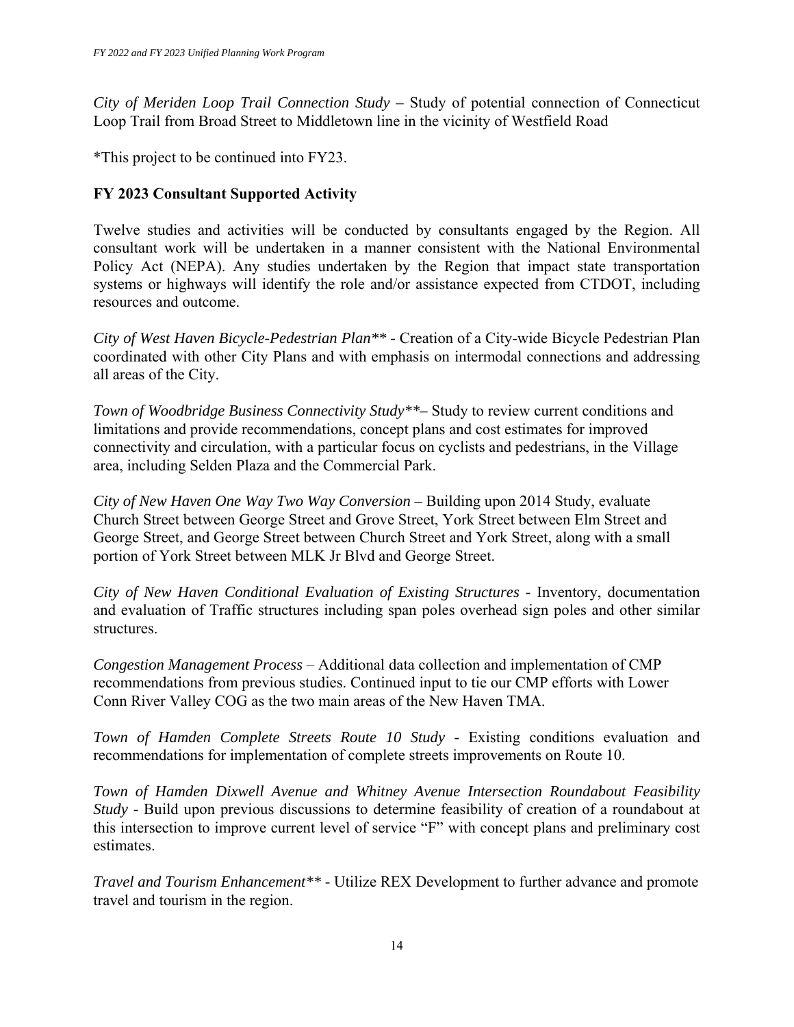*City of Meriden Loop Trail Connection Study –* Study of potential connection of Connecticut Loop Trail from Broad Street to Middletown line in the vicinity of Westfield Road

\*This project to be continued into FY23.

### **FY 2023 Consultant Supported Activity**

Twelve studies and activities will be conducted by consultants engaged by the Region. All consultant work will be undertaken in a manner consistent with the National Environmental Policy Act (NEPA). Any studies undertaken by the Region that impact state transportation systems or highways will identify the role and/or assistance expected from CTDOT, including resources and outcome.

*City of West Haven Bicycle-Pedestrian Plan\*\* -* Creation of a City-wide Bicycle Pedestrian Plan coordinated with other City Plans and with emphasis on intermodal connections and addressing all areas of the City.

*Town of Woodbridge Business Connectivity Study\*\*–* Study to review current conditions and limitations and provide recommendations, concept plans and cost estimates for improved connectivity and circulation, with a particular focus on cyclists and pedestrians, in the Village area, including Selden Plaza and the Commercial Park.

*City of New Haven One Way Two Way Conversion –* Building upon 2014 Study, evaluate Church Street between George Street and Grove Street, York Street between Elm Street and George Street, and George Street between Church Street and York Street, along with a small portion of York Street between MLK Jr Blvd and George Street.

*City of New Haven Conditional Evaluation of Existing Structures -* Inventory, documentation and evaluation of Traffic structures including span poles overhead sign poles and other similar structures.

*Congestion Management Process* – Additional data collection and implementation of CMP recommendations from previous studies. Continued input to tie our CMP efforts with Lower Conn River Valley COG as the two main areas of the New Haven TMA.

*Town of Hamden Complete Streets Route 10 Study - Existing conditions evaluation and* recommendations for implementation of complete streets improvements on Route 10.

*Town of Hamden Dixwell Avenue and Whitney Avenue Intersection Roundabout Feasibility Study* - Build upon previous discussions to determine feasibility of creation of a roundabout at this intersection to improve current level of service "F" with concept plans and preliminary cost estimates.

*Travel and Tourism Enhancement\*\* -* Utilize REX Development to further advance and promote travel and tourism in the region.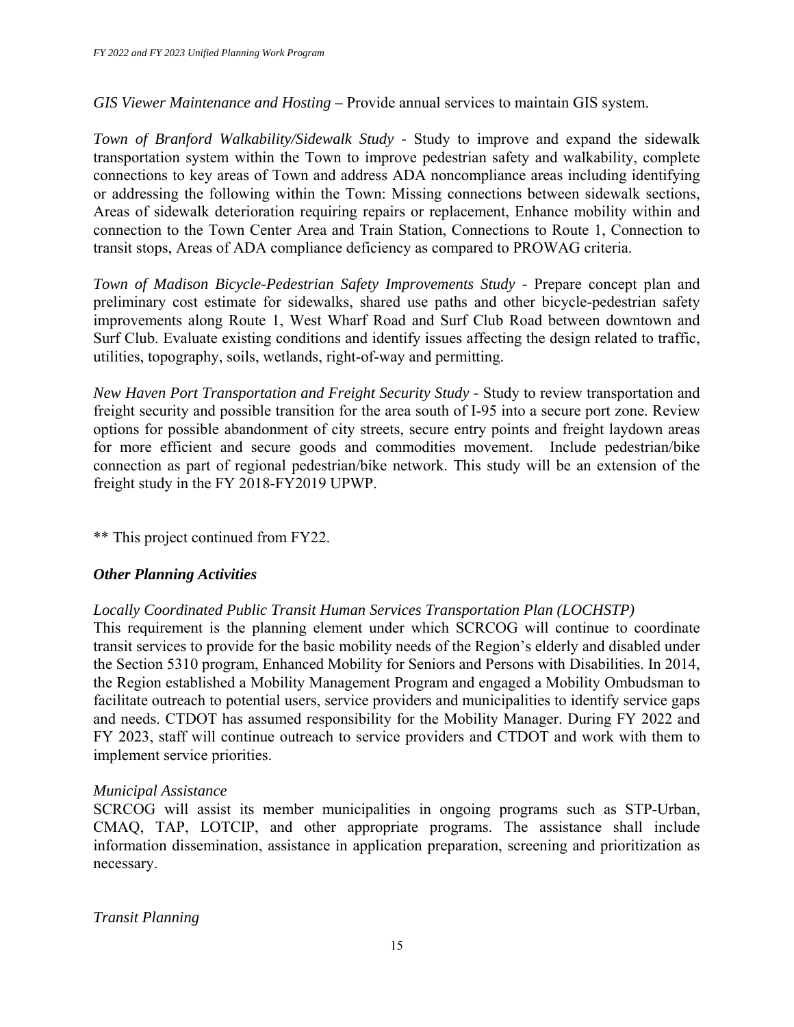*GIS Viewer Maintenance and Hosting –* Provide annual services to maintain GIS system.

*Town of Branford Walkability/Sidewalk Study -* Study to improve and expand the sidewalk transportation system within the Town to improve pedestrian safety and walkability, complete connections to key areas of Town and address ADA noncompliance areas including identifying or addressing the following within the Town: Missing connections between sidewalk sections, Areas of sidewalk deterioration requiring repairs or replacement, Enhance mobility within and connection to the Town Center Area and Train Station, Connections to Route 1, Connection to transit stops, Areas of ADA compliance deficiency as compared to PROWAG criteria.

*Town of Madison Bicycle-Pedestrian Safety Improvements Study - Prepare concept plan and* preliminary cost estimate for sidewalks, shared use paths and other bicycle-pedestrian safety improvements along Route 1, West Wharf Road and Surf Club Road between downtown and Surf Club. Evaluate existing conditions and identify issues affecting the design related to traffic, utilities, topography, soils, wetlands, right-of-way and permitting.

*New Haven Port Transportation and Freight Security Study -* Study to review transportation and freight security and possible transition for the area south of I-95 into a secure port zone. Review options for possible abandonment of city streets, secure entry points and freight laydown areas for more efficient and secure goods and commodities movement. Include pedestrian/bike connection as part of regional pedestrian/bike network. This study will be an extension of the freight study in the FY 2018-FY2019 UPWP.

\*\* This project continued from FY22.

#### *Other Planning Activities*

#### *Locally Coordinated Public Transit Human Services Transportation Plan (LOCHSTP)*

This requirement is the planning element under which SCRCOG will continue to coordinate transit services to provide for the basic mobility needs of the Region's elderly and disabled under the Section 5310 program, Enhanced Mobility for Seniors and Persons with Disabilities. In 2014, the Region established a Mobility Management Program and engaged a Mobility Ombudsman to facilitate outreach to potential users, service providers and municipalities to identify service gaps and needs. CTDOT has assumed responsibility for the Mobility Manager. During FY 2022 and FY 2023, staff will continue outreach to service providers and CTDOT and work with them to implement service priorities.

#### *Municipal Assistance*

SCRCOG will assist its member municipalities in ongoing programs such as STP-Urban, CMAQ, TAP, LOTCIP, and other appropriate programs. The assistance shall include information dissemination, assistance in application preparation, screening and prioritization as necessary.

#### *Transit Planning*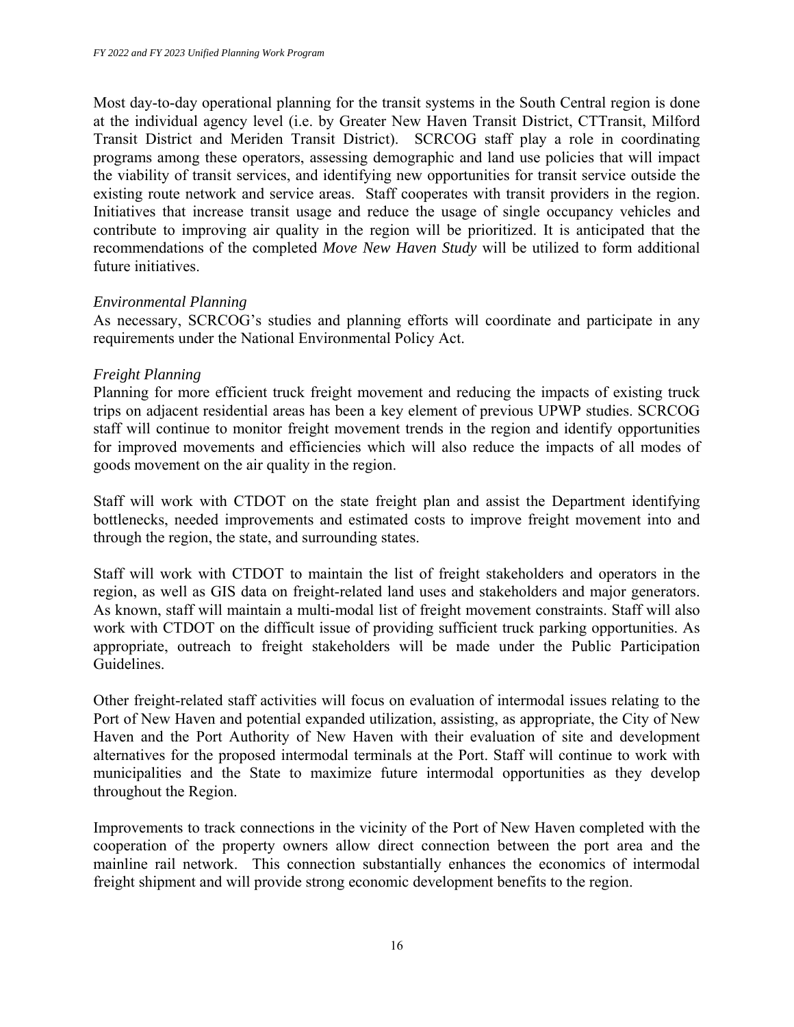Most day-to-day operational planning for the transit systems in the South Central region is done at the individual agency level (i.e. by Greater New Haven Transit District, CTTransit, Milford Transit District and Meriden Transit District). SCRCOG staff play a role in coordinating programs among these operators, assessing demographic and land use policies that will impact the viability of transit services, and identifying new opportunities for transit service outside the existing route network and service areas. Staff cooperates with transit providers in the region. Initiatives that increase transit usage and reduce the usage of single occupancy vehicles and contribute to improving air quality in the region will be prioritized. It is anticipated that the recommendations of the completed *Move New Haven Study* will be utilized to form additional future initiatives.

#### *Environmental Planning*

As necessary, SCRCOG's studies and planning efforts will coordinate and participate in any requirements under the National Environmental Policy Act.

#### *Freight Planning*

Planning for more efficient truck freight movement and reducing the impacts of existing truck trips on adjacent residential areas has been a key element of previous UPWP studies. SCRCOG staff will continue to monitor freight movement trends in the region and identify opportunities for improved movements and efficiencies which will also reduce the impacts of all modes of goods movement on the air quality in the region.

Staff will work with CTDOT on the state freight plan and assist the Department identifying bottlenecks, needed improvements and estimated costs to improve freight movement into and through the region, the state, and surrounding states.

Staff will work with CTDOT to maintain the list of freight stakeholders and operators in the region, as well as GIS data on freight-related land uses and stakeholders and major generators. As known, staff will maintain a multi-modal list of freight movement constraints. Staff will also work with CTDOT on the difficult issue of providing sufficient truck parking opportunities. As appropriate, outreach to freight stakeholders will be made under the Public Participation Guidelines.

Other freight-related staff activities will focus on evaluation of intermodal issues relating to the Port of New Haven and potential expanded utilization, assisting, as appropriate, the City of New Haven and the Port Authority of New Haven with their evaluation of site and development alternatives for the proposed intermodal terminals at the Port. Staff will continue to work with municipalities and the State to maximize future intermodal opportunities as they develop throughout the Region.

Improvements to track connections in the vicinity of the Port of New Haven completed with the cooperation of the property owners allow direct connection between the port area and the mainline rail network. This connection substantially enhances the economics of intermodal freight shipment and will provide strong economic development benefits to the region.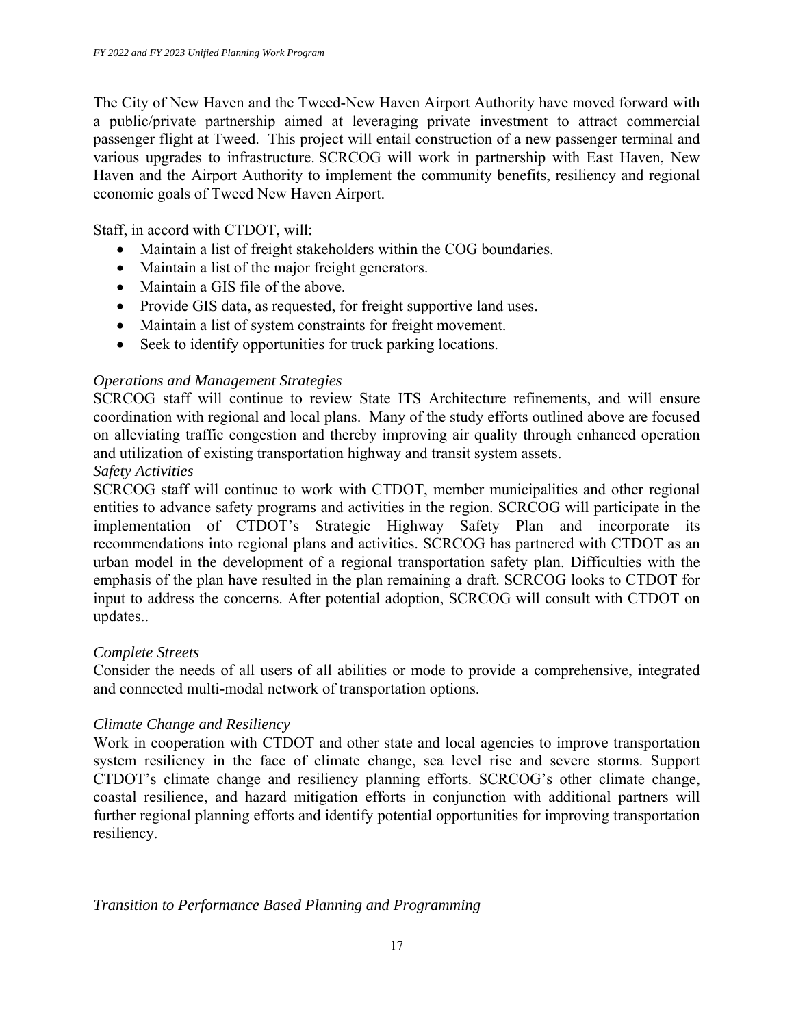The City of New Haven and the Tweed-New Haven Airport Authority have moved forward with a public/private partnership aimed at leveraging private investment to attract commercial passenger flight at Tweed. This project will entail construction of a new passenger terminal and various upgrades to infrastructure. SCRCOG will work in partnership with East Haven, New Haven and the Airport Authority to implement the community benefits, resiliency and regional economic goals of Tweed New Haven Airport.

Staff, in accord with CTDOT, will:

- Maintain a list of freight stakeholders within the COG boundaries.
- Maintain a list of the major freight generators.
- Maintain a GIS file of the above.
- Provide GIS data, as requested, for freight supportive land uses.
- Maintain a list of system constraints for freight movement.
- Seek to identify opportunities for truck parking locations.

#### *Operations and Management Strategies*

SCRCOG staff will continue to review State ITS Architecture refinements, and will ensure coordination with regional and local plans. Many of the study efforts outlined above are focused on alleviating traffic congestion and thereby improving air quality through enhanced operation and utilization of existing transportation highway and transit system assets.

#### *Safety Activities*

SCRCOG staff will continue to work with CTDOT, member municipalities and other regional entities to advance safety programs and activities in the region. SCRCOG will participate in the implementation of CTDOT's Strategic Highway Safety Plan and incorporate its recommendations into regional plans and activities. SCRCOG has partnered with CTDOT as an urban model in the development of a regional transportation safety plan. Difficulties with the emphasis of the plan have resulted in the plan remaining a draft. SCRCOG looks to CTDOT for input to address the concerns. After potential adoption, SCRCOG will consult with CTDOT on updates..

#### *Complete Streets*

Consider the needs of all users of all abilities or mode to provide a comprehensive, integrated and connected multi-modal network of transportation options.

#### *Climate Change and Resiliency*

Work in cooperation with CTDOT and other state and local agencies to improve transportation system resiliency in the face of climate change, sea level rise and severe storms. Support CTDOT's climate change and resiliency planning efforts. SCRCOG's other climate change, coastal resilience, and hazard mitigation efforts in conjunction with additional partners will further regional planning efforts and identify potential opportunities for improving transportation resiliency.

#### *Transition to Performance Based Planning and Programming*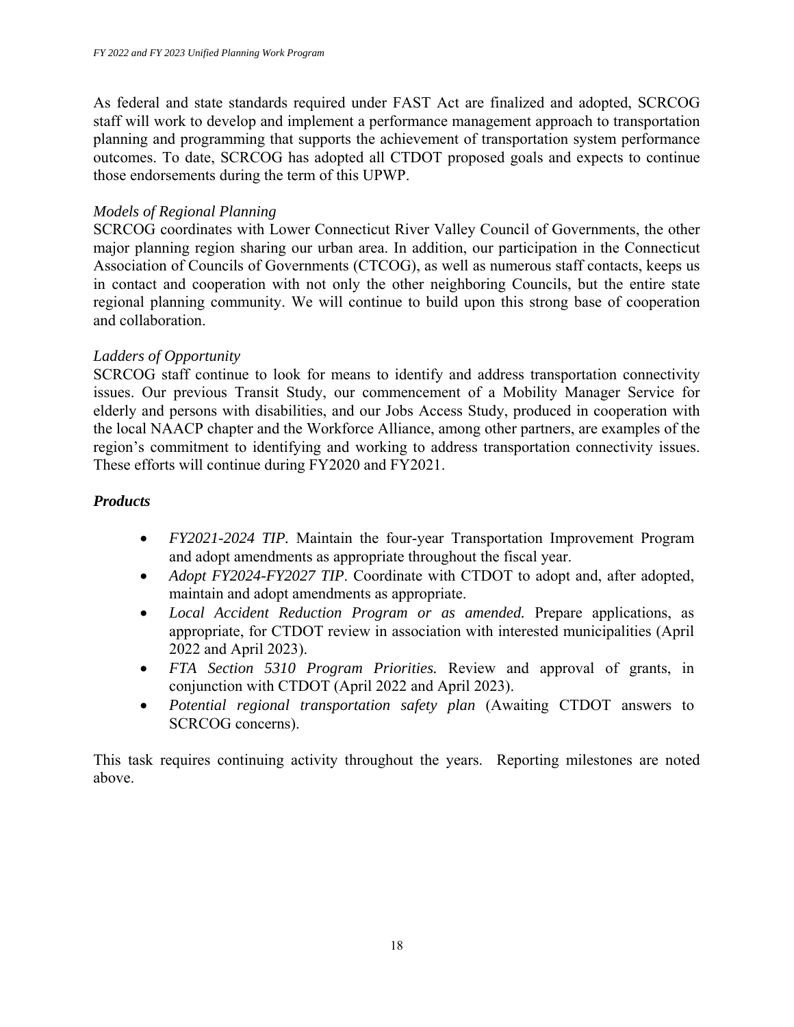As federal and state standards required under FAST Act are finalized and adopted, SCRCOG staff will work to develop and implement a performance management approach to transportation planning and programming that supports the achievement of transportation system performance outcomes. To date, SCRCOG has adopted all CTDOT proposed goals and expects to continue those endorsements during the term of this UPWP.

#### *Models of Regional Planning*

SCRCOG coordinates with Lower Connecticut River Valley Council of Governments, the other major planning region sharing our urban area. In addition, our participation in the Connecticut Association of Councils of Governments (CTCOG), as well as numerous staff contacts, keeps us in contact and cooperation with not only the other neighboring Councils, but the entire state regional planning community. We will continue to build upon this strong base of cooperation and collaboration.

#### *Ladders of Opportunity*

SCRCOG staff continue to look for means to identify and address transportation connectivity issues. Our previous Transit Study, our commencement of a Mobility Manager Service for elderly and persons with disabilities, and our Jobs Access Study, produced in cooperation with the local NAACP chapter and the Workforce Alliance, among other partners, are examples of the region's commitment to identifying and working to address transportation connectivity issues. These efforts will continue during FY2020 and FY2021.

#### *Products*

- *FY2021-2024 TIP.* Maintain the four-year Transportation Improvement Program and adopt amendments as appropriate throughout the fiscal year.
- *Adopt FY2024-FY2027 TIP*. Coordinate with CTDOT to adopt and, after adopted, maintain and adopt amendments as appropriate.
- *Local Accident Reduction Program or as amended.* Prepare applications, as appropriate, for CTDOT review in association with interested municipalities (April 2022 and April 2023).
- *FTA Section 5310 Program Priorities.* Review and approval of grants, in conjunction with CTDOT (April 2022 and April 2023).
- *Potential regional transportation safety plan* (Awaiting CTDOT answers to SCRCOG concerns).

This task requires continuing activity throughout the years. Reporting milestones are noted above.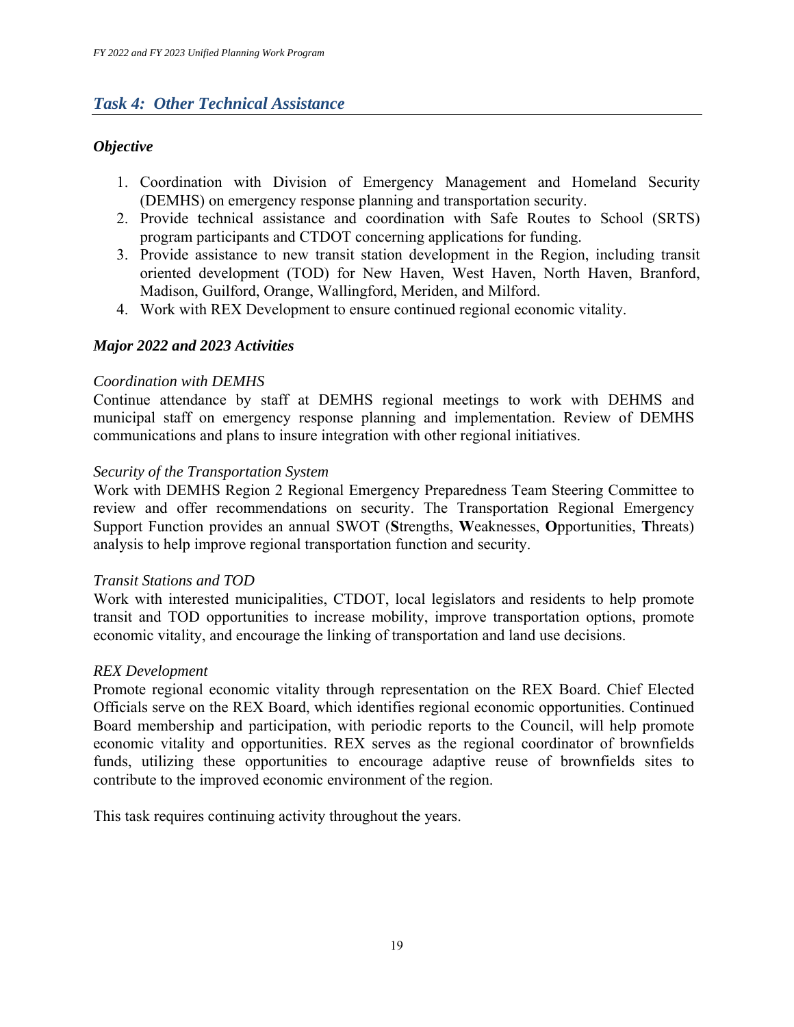### *Task 4: Other Technical Assistance*

### *Objective*

- 1. Coordination with Division of Emergency Management and Homeland Security (DEMHS) on emergency response planning and transportation security.
- 2. Provide technical assistance and coordination with Safe Routes to School (SRTS) program participants and CTDOT concerning applications for funding.
- 3. Provide assistance to new transit station development in the Region, including transit oriented development (TOD) for New Haven, West Haven, North Haven, Branford, Madison, Guilford, Orange, Wallingford, Meriden, and Milford.
- 4. Work with REX Development to ensure continued regional economic vitality.

#### *Major 2022 and 2023 Activities*

#### *Coordination with DEMHS*

Continue attendance by staff at DEMHS regional meetings to work with DEHMS and municipal staff on emergency response planning and implementation. Review of DEMHS communications and plans to insure integration with other regional initiatives.

#### *Security of the Transportation System*

Work with DEMHS Region 2 Regional Emergency Preparedness Team Steering Committee to review and offer recommendations on security. The Transportation Regional Emergency Support Function provides an annual SWOT (**S**trengths, **W**eaknesses, **O**pportunities, **T**hreats) analysis to help improve regional transportation function and security.

#### *Transit Stations and TOD*

Work with interested municipalities, CTDOT, local legislators and residents to help promote transit and TOD opportunities to increase mobility, improve transportation options, promote economic vitality, and encourage the linking of transportation and land use decisions.

#### *REX Development*

Promote regional economic vitality through representation on the REX Board. Chief Elected Officials serve on the REX Board, which identifies regional economic opportunities. Continued Board membership and participation, with periodic reports to the Council, will help promote economic vitality and opportunities. REX serves as the regional coordinator of brownfields funds, utilizing these opportunities to encourage adaptive reuse of brownfields sites to contribute to the improved economic environment of the region.

This task requires continuing activity throughout the years.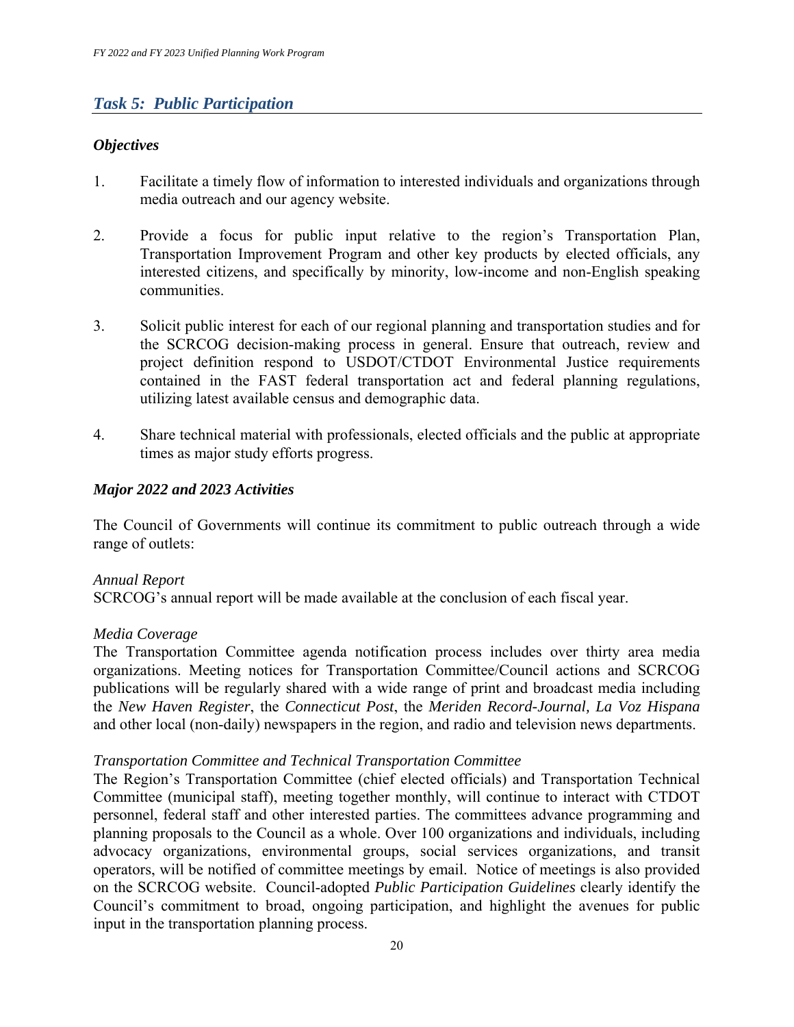### *Task 5: Public Participation*

#### *Objectives*

- 1. Facilitate a timely flow of information to interested individuals and organizations through media outreach and our agency website.
- 2. Provide a focus for public input relative to the region's Transportation Plan, Transportation Improvement Program and other key products by elected officials, any interested citizens, and specifically by minority, low-income and non-English speaking communities.
- 3. Solicit public interest for each of our regional planning and transportation studies and for the SCRCOG decision-making process in general. Ensure that outreach, review and project definition respond to USDOT/CTDOT Environmental Justice requirements contained in the FAST federal transportation act and federal planning regulations, utilizing latest available census and demographic data.
- 4. Share technical material with professionals, elected officials and the public at appropriate times as major study efforts progress.

#### *Major 2022 and 2023 Activities*

The Council of Governments will continue its commitment to public outreach through a wide range of outlets:

#### *Annual Report*

SCRCOG's annual report will be made available at the conclusion of each fiscal year.

#### *Media Coverage*

The Transportation Committee agenda notification process includes over thirty area media organizations. Meeting notices for Transportation Committee/Council actions and SCRCOG publications will be regularly shared with a wide range of print and broadcast media including the *New Haven Register*, the *Connecticut Post*, the *Meriden Record-Journal, La Voz Hispana* and other local (non-daily) newspapers in the region, and radio and television news departments.

#### *Transportation Committee and Technical Transportation Committee*

The Region's Transportation Committee (chief elected officials) and Transportation Technical Committee (municipal staff), meeting together monthly, will continue to interact with CTDOT personnel, federal staff and other interested parties. The committees advance programming and planning proposals to the Council as a whole. Over 100 organizations and individuals, including advocacy organizations, environmental groups, social services organizations, and transit operators, will be notified of committee meetings by email. Notice of meetings is also provided on the SCRCOG website. Council-adopted *Public Participation Guidelines* clearly identify the Council's commitment to broad, ongoing participation, and highlight the avenues for public input in the transportation planning process.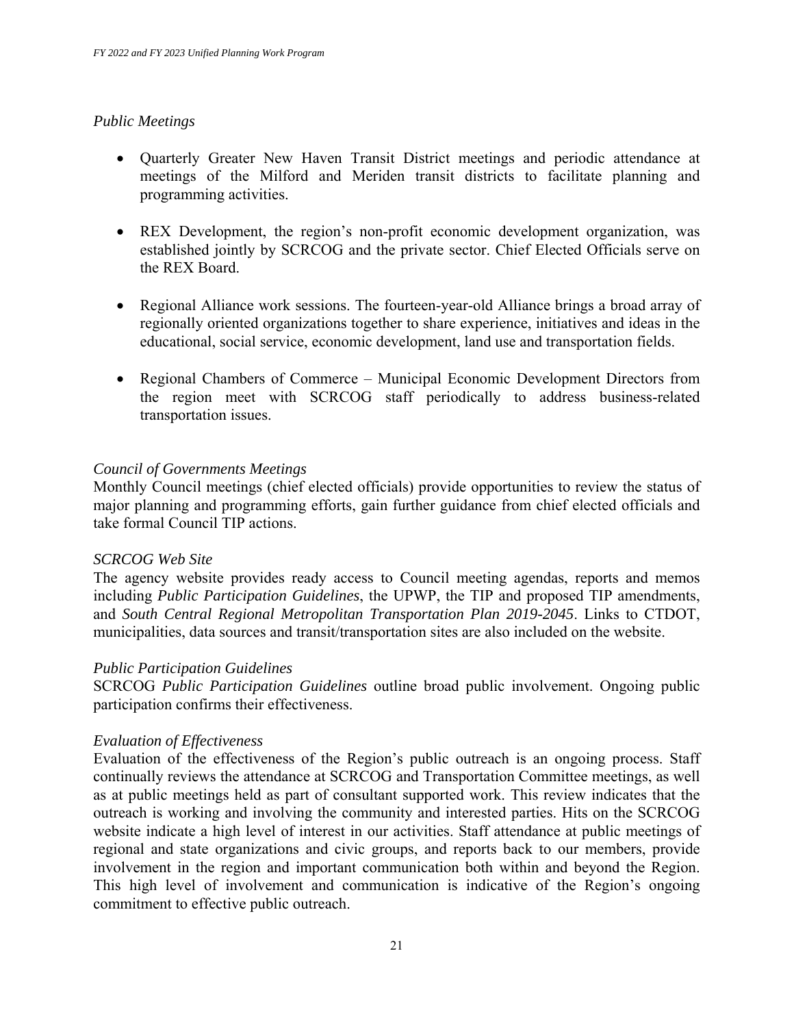#### *Public Meetings*

- Quarterly Greater New Haven Transit District meetings and periodic attendance at meetings of the Milford and Meriden transit districts to facilitate planning and programming activities.
- REX Development, the region's non-profit economic development organization, was established jointly by SCRCOG and the private sector. Chief Elected Officials serve on the REX Board.
- Regional Alliance work sessions. The fourteen-year-old Alliance brings a broad array of regionally oriented organizations together to share experience, initiatives and ideas in the educational, social service, economic development, land use and transportation fields.
- Regional Chambers of Commerce Municipal Economic Development Directors from the region meet with SCRCOG staff periodically to address business-related transportation issues.

#### *Council of Governments Meetings*

Monthly Council meetings (chief elected officials) provide opportunities to review the status of major planning and programming efforts, gain further guidance from chief elected officials and take formal Council TIP actions.

#### *SCRCOG Web Site*

The agency website provides ready access to Council meeting agendas, reports and memos including *Public Participation Guidelines*, the UPWP, the TIP and proposed TIP amendments, and *South Central Regional Metropolitan Transportation Plan 2019-2045*. Links to CTDOT, municipalities, data sources and transit/transportation sites are also included on the website.

#### *Public Participation Guidelines*

SCRCOG *Public Participation Guidelines* outline broad public involvement. Ongoing public participation confirms their effectiveness.

#### *Evaluation of Effectiveness*

Evaluation of the effectiveness of the Region's public outreach is an ongoing process. Staff continually reviews the attendance at SCRCOG and Transportation Committee meetings, as well as at public meetings held as part of consultant supported work. This review indicates that the outreach is working and involving the community and interested parties. Hits on the SCRCOG website indicate a high level of interest in our activities. Staff attendance at public meetings of regional and state organizations and civic groups, and reports back to our members, provide involvement in the region and important communication both within and beyond the Region. This high level of involvement and communication is indicative of the Region's ongoing commitment to effective public outreach.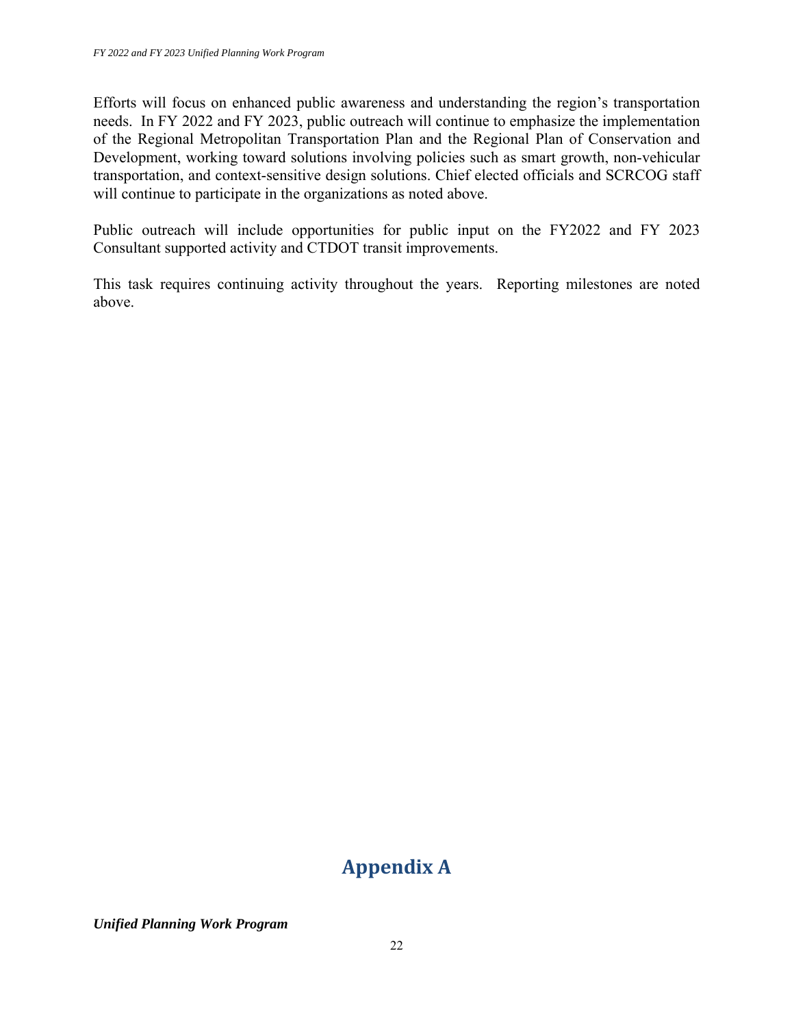Efforts will focus on enhanced public awareness and understanding the region's transportation needs. In FY 2022 and FY 2023, public outreach will continue to emphasize the implementation of the Regional Metropolitan Transportation Plan and the Regional Plan of Conservation and Development, working toward solutions involving policies such as smart growth, non-vehicular transportation, and context-sensitive design solutions. Chief elected officials and SCRCOG staff will continue to participate in the organizations as noted above.

Public outreach will include opportunities for public input on the FY2022 and FY 2023 Consultant supported activity and CTDOT transit improvements.

This task requires continuing activity throughout the years. Reporting milestones are noted above.

# **Appendix A**

*Unified Planning Work Program*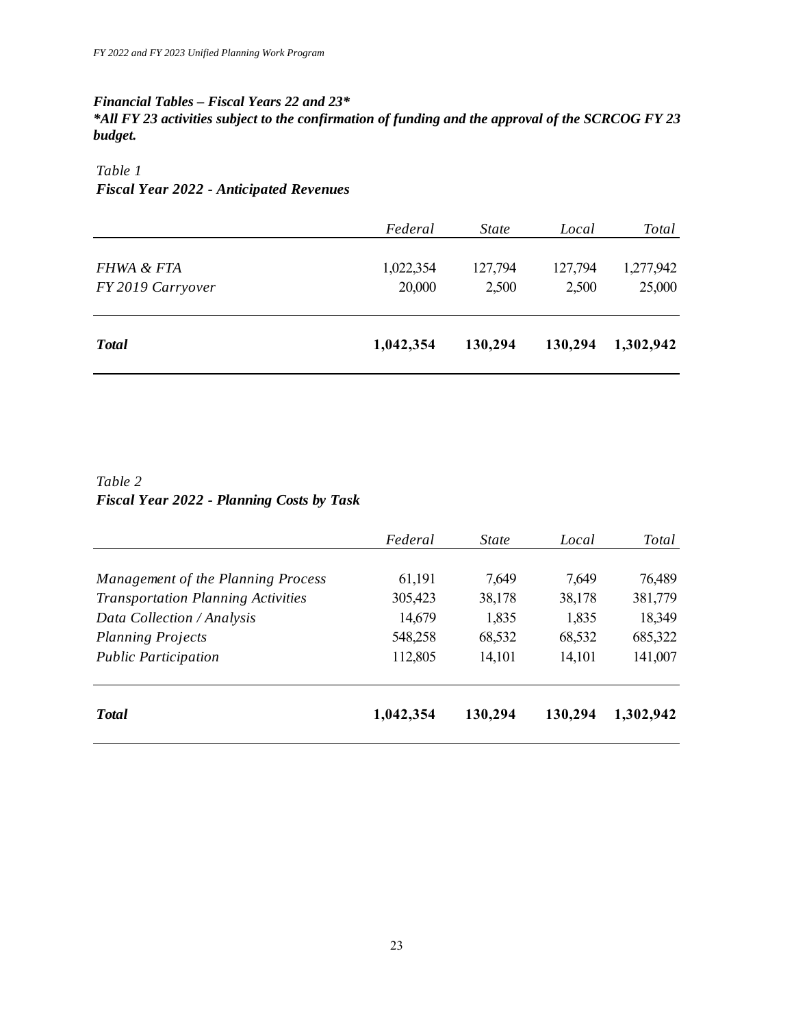#### *Financial Tables – Fiscal Years 22 and 23\**

*\*All FY 23 activities subject to the confirmation of funding and the approval of the SCRCOG FY 23 budget.* 

#### *Table 1*

#### *Fiscal Year 2022 - Anticipated Revenues*

| Federal   | <i>State</i> | Local   | Total     |
|-----------|--------------|---------|-----------|
| 1,022,354 | 127,794      | 127,794 | 1,277,942 |
| 20,000    | 2,500        | 2,500   | 25,000    |
|           |              |         |           |
| 1,042,354 | 130,294      | 130,294 | 1,302,942 |
|           |              |         |           |

#### *Table 2 Fiscal Year 2022 - Planning Costs by Task*

|                                           | Federal   | <i>State</i> | Local   | Total     |
|-------------------------------------------|-----------|--------------|---------|-----------|
| Management of the Planning Process        | 61,191    | 7,649        | 7,649   | 76,489    |
| <b>Transportation Planning Activities</b> | 305,423   | 38,178       | 38,178  | 381,779   |
| Data Collection / Analysis                | 14,679    | 1,835        | 1,835   | 18,349    |
| <b>Planning Projects</b>                  | 548,258   | 68,532       | 68,532  | 685,322   |
| <b>Public Participation</b>               | 112,805   | 14,101       | 14,101  | 141,007   |
| <b>Total</b>                              | 1,042,354 | 130,294      | 130,294 | 1,302,942 |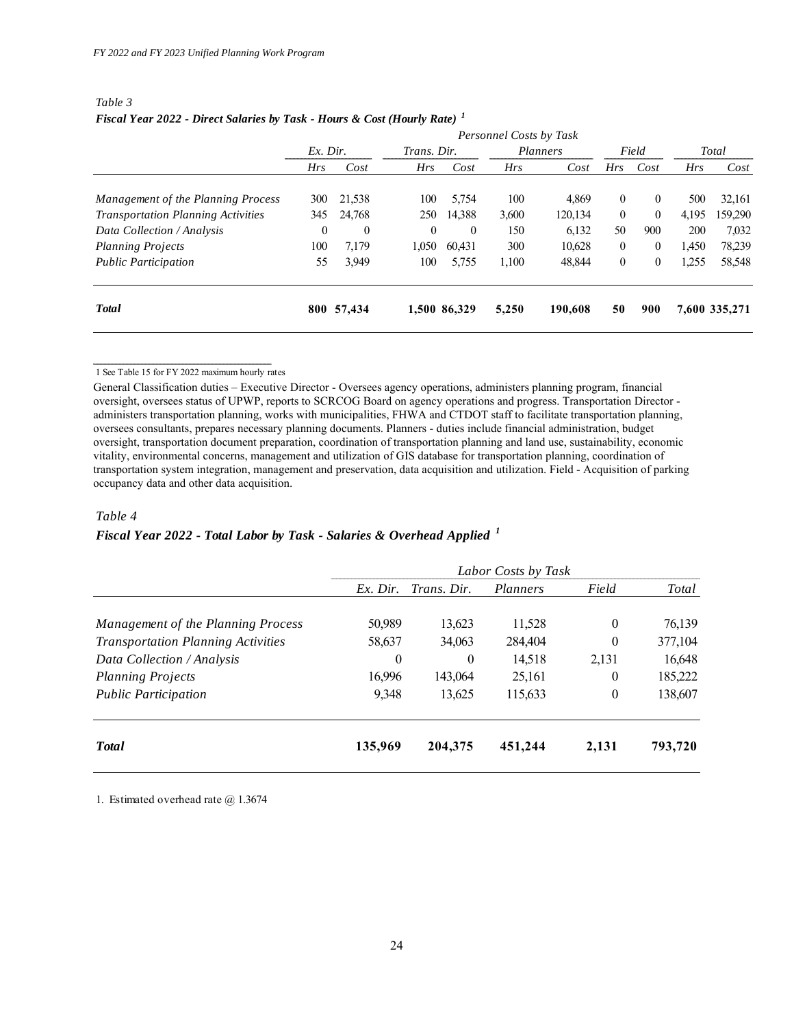| Table 3                                                                              |  |  |
|--------------------------------------------------------------------------------------|--|--|
| Fiscal Year 2022 - Direct Salaries by Task - Hours & Cost (Hourly Rate) <sup>1</sup> |  |  |

|                                           | Personnel Costs by Task |              |              |              |            |         |                |              |            |               |
|-------------------------------------------|-------------------------|--------------|--------------|--------------|------------|---------|----------------|--------------|------------|---------------|
|                                           | $Ex.$ Dir.              |              | Trans. Dir.  |              | Planners   |         | Field          |              | Total      |               |
|                                           | Hrs                     | Cost         | Hrs          | Cost         | <b>Hrs</b> | Cost    | <i>Hrs</i>     | Cost         | <b>Hrs</b> | Cost          |
| Management of the Planning Process        | 300                     | 21,538       | 100          | 5,754        | 100        | 4,869   | $\overline{0}$ | $\theta$     | 500        | 32,161        |
| <b>Transportation Planning Activities</b> | 345                     | 24,768       | 250          | 14,388       | 3,600      | 120,134 | $\overline{0}$ | $\theta$     | 4,195      | 159,290       |
| Data Collection / Analysis                | $\theta$                | $\mathbf{0}$ | $\mathbf{0}$ | $\theta$     | 150        | 6,132   | 50             | 900          | 200        | 7,032         |
| <b>Planning Projects</b>                  | 100                     | 7.179        | 1,050        | 60.431       | 300        | 10,628  | $\mathbf{0}$   | $\mathbf{0}$ | 1,450      | 78,239        |
| <b>Public Participation</b>               | 55                      | 3,949        | 100          | 5,755        | 1,100      | 48,844  | 0              | $\mathbf{0}$ | 1,255      | 58,548        |
| <b>Total</b>                              |                         | 800 57,434   |              | 1,500 86,329 | 5,250      | 190.608 | 50             | 900          |            | 7,600 335,271 |

1 See Table 15 for FY 2022 maximum hourly rates

General Classification duties – Executive Director - Oversees agency operations, administers planning program, financial oversight, oversees status of UPWP, reports to SCRCOG Board on agency operations and progress. Transportation Director administers transportation planning, works with municipalities, FHWA and CTDOT staff to facilitate transportation planning, oversees consultants, prepares necessary planning documents. Planners - duties include financial administration, budget oversight, transportation document preparation, coordination of transportation planning and land use, sustainability, economic vitality, environmental concerns, management and utilization of GIS database for transportation planning, coordination of transportation system integration, management and preservation, data acquisition and utilization. Field - Acquisition of parking occupancy data and other data acquisition.

#### *Table 4*

#### *Fiscal Year 2022 - Total Labor by Task - Salaries & Overhead Applied <sup>1</sup>*

|                                           |              |                | Labor Costs by Task |                |         |
|-------------------------------------------|--------------|----------------|---------------------|----------------|---------|
|                                           | $Ex.$ Dir.   | Trans. Dir.    | Planners            | Field          | Total   |
| Management of the Planning Process        | 50,989       | 13,623         | 11,528              | $\overline{0}$ | 76,139  |
| <b>Transportation Planning Activities</b> | 58,637       | 34,063         | 284,404             | $\theta$       | 377,104 |
| Data Collection / Analysis                | $\mathbf{0}$ | $\overline{0}$ | 14,518              | 2,131          | 16,648  |
| <b>Planning Projects</b>                  | 16,996       | 143,064        | 25,161              | $\overline{0}$ | 185,222 |
| <b>Public Participation</b>               | 9.348        | 13,625         | 115,633             | $\theta$       | 138,607 |
| <b>T</b> otal                             | 135,969      | 204, 375       | 451,244             | 2,131          | 793,720 |

1. Estimated overhead rate @ 1.3674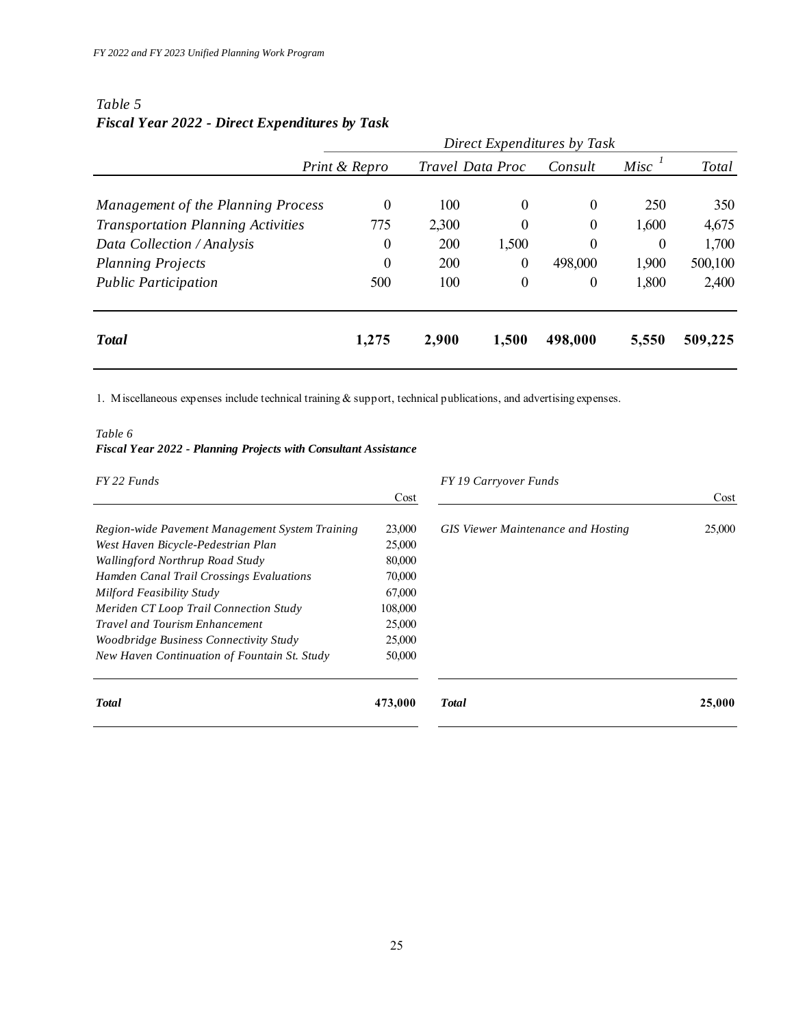### *Table 5 Fiscal Year 2022 - Direct Expenditures by Task*

|                                           | Direct Expenditures by Task |                  |                  |                  |          |         |  |
|-------------------------------------------|-----------------------------|------------------|------------------|------------------|----------|---------|--|
|                                           | Print & Repro               | Travel Data Proc |                  | Consult          | Misc     | Total   |  |
| Management of the Planning Process        | $\theta$                    | 100              | $\theta$         | $\theta$         | 250      | 350     |  |
| <b>Transportation Planning Activities</b> | 775                         | 2,300            | 0                | $\boldsymbol{0}$ | 1,600    | 4,675   |  |
| Data Collection / Analysis                | $\theta$                    | 200              | 1,500            | $\overline{0}$   | $\theta$ | 1,700   |  |
| <b>Planning Projects</b>                  | $\boldsymbol{0}$            | 200              | $\theta$         | 498,000          | 1,900    | 500,100 |  |
| <b>Public Participation</b>               | 500                         | 100              | $\boldsymbol{0}$ | $\overline{0}$   | 1,800    | 2,400   |  |
| <b>T</b> otal                             | 1,275                       | 2,900            | 1,500            | 498,000          | 5,550    | 509,225 |  |

1. Miscellaneous expenses include technical training & support, technical publications, and advertising expenses.

#### *Table 6 Fiscal Year 2022 - Planning Projects with Consultant Assistance*

| FY 22 Funds                                     |         | FY 19 Carryover Funds                     |        |
|-------------------------------------------------|---------|-------------------------------------------|--------|
|                                                 | Cost    |                                           | Cost   |
| Region-wide Pavement Management System Training | 23,000  | <b>GIS</b> Viewer Maintenance and Hosting | 25,000 |
| West Haven Bicycle-Pedestrian Plan              | 25,000  |                                           |        |
| Wallingford Northrup Road Study                 | 80,000  |                                           |        |
| Hamden Canal Trail Crossings Evaluations        | 70,000  |                                           |        |
| Milford Feasibility Study                       | 67,000  |                                           |        |
| Meriden CT Loop Trail Connection Study          | 108,000 |                                           |        |
| <b>Travel and Tourism Enhancement</b>           | 25,000  |                                           |        |
| Woodbridge Business Connectivity Study          | 25,000  |                                           |        |
| New Haven Continuation of Fountain St. Study    | 50,000  |                                           |        |
| <b>Total</b>                                    | 473,000 | Total                                     | 25,000 |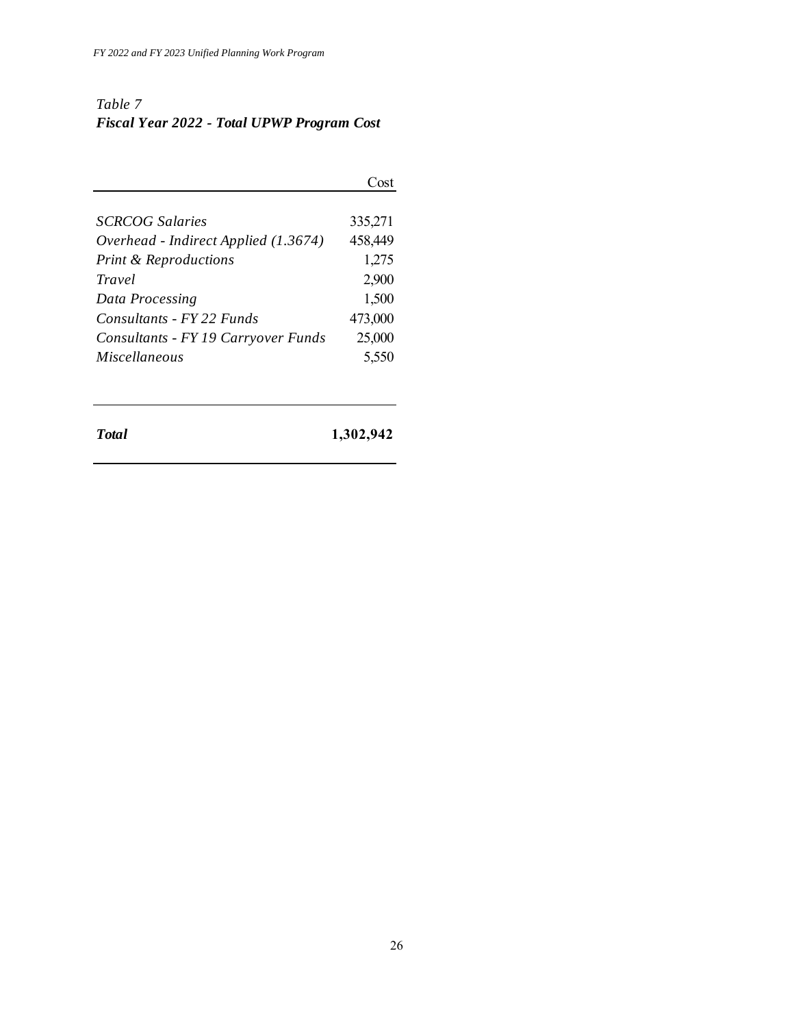## *Table 7 Fiscal Year 2022 - Total UPWP Program Cost*

|                                      | Cost    |
|--------------------------------------|---------|
|                                      |         |
| <b>SCRCOG</b> Salaries               | 335,271 |
| Overhead - Indirect Applied (1.3674) | 458,449 |
| <b>Print &amp; Reproductions</b>     | 1,275   |
| Travel                               | 2,900   |
| Data Processing                      | 1,500   |
| Consultants - FY 22 Funds            | 473,000 |
| Consultants - FY 19 Carryover Funds  | 25,000  |
| <b>Miscellaneous</b>                 | 5,550   |
|                                      |         |

*Total* **1,302,942**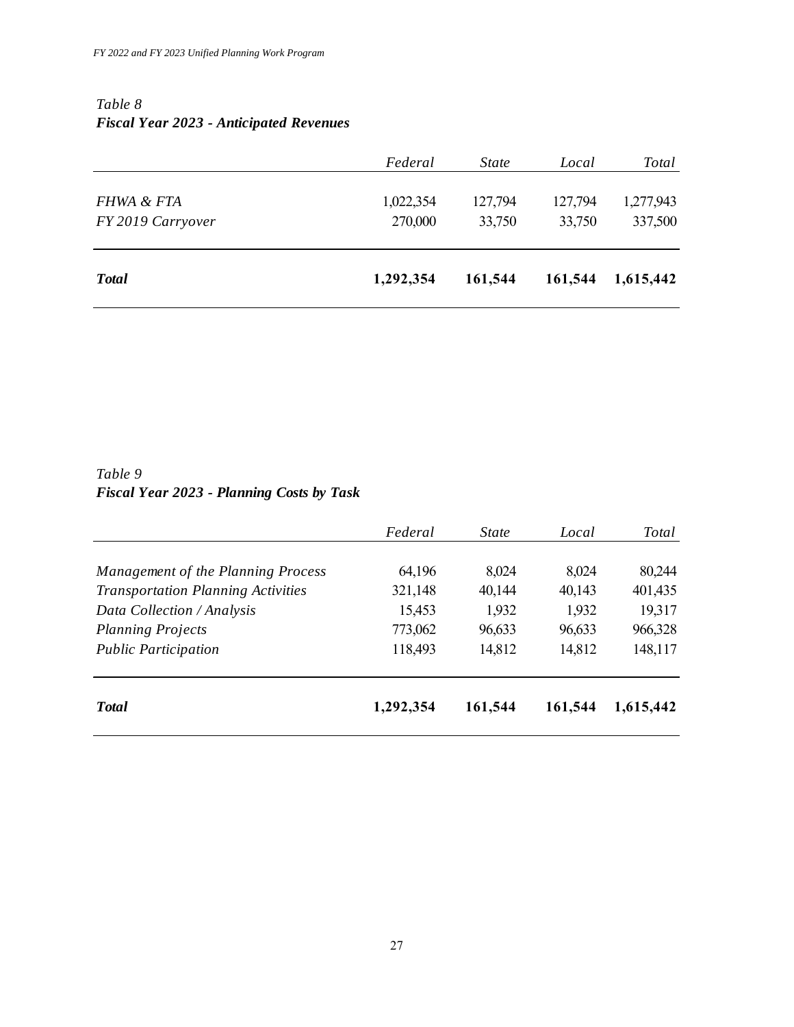### *Table 8 Fiscal Year 2023 - Anticipated Revenues*

|                   | Federal   | <i>State</i> | Local   | <b>Total</b> |
|-------------------|-----------|--------------|---------|--------------|
| FHWA & FTA        | 1,022,354 | 127,794      | 127,794 | 1,277,943    |
| FY 2019 Carryover | 270,000   | 33,750       | 33,750  | 337,500      |
|                   |           |              |         |              |
| <b>Total</b>      | 1,292,354 | 161,544      | 161,544 | 1,615,442    |

## *Table 9 Fiscal Year 2023 - Planning Costs by Task*

|                                           | Federal   | <i>State</i> | Local   | Total     |
|-------------------------------------------|-----------|--------------|---------|-----------|
| Management of the Planning Process        | 64,196    | 8,024        | 8,024   | 80,244    |
| <b>Transportation Planning Activities</b> | 321,148   | 40,144       | 40,143  | 401,435   |
| Data Collection / Analysis                | 15,453    | 1,932        | 1,932   | 19,317    |
| <b>Planning Projects</b>                  | 773,062   | 96,633       | 96,633  | 966,328   |
| <b>Public Participation</b>               | 118,493   | 14,812       | 14,812  | 148,117   |
| <b>T</b> otal                             | 1,292,354 | 161,544      | 161,544 | 1,615,442 |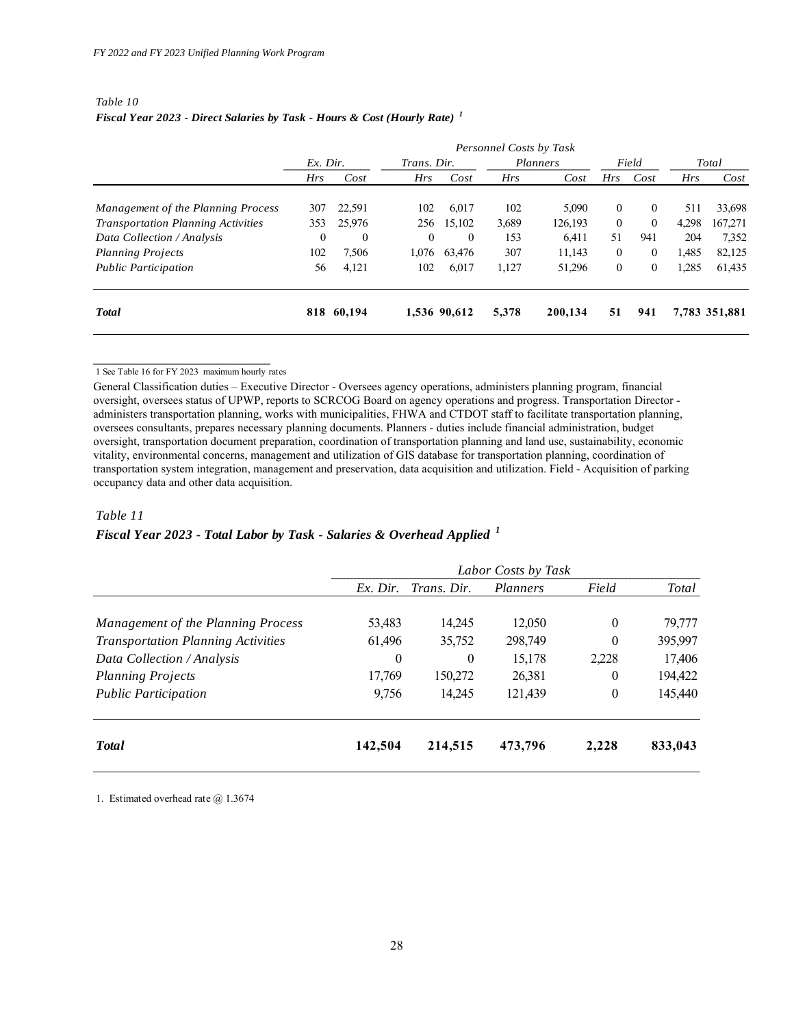#### *Table 10 Fiscal Year 2023 - Direct Salaries by Task - Hours & Cost (Hourly Rate) <sup>1</sup>*

|                                           | Personnel Costs by Task |            |             |              |       |          |          |                    |       |               |
|-------------------------------------------|-------------------------|------------|-------------|--------------|-------|----------|----------|--------------------|-------|---------------|
|                                           | $Ex.$ Dir.              |            | Trans. Dir. |              |       | Planners |          | Field              |       | Total         |
|                                           | Hrs                     | Cost       | Hrs         | Cost         | Hrs   | Cost     | Hrs      | Cost               | Hrs   | Cost          |
| Management of the Planning Process        | 307                     | 22.591     | 102         | 6.017        | 102   | 5,090    | $\theta$ | $\theta$           | 511   | 33,698        |
| <b>Transportation Planning Activities</b> | 353                     | 25,976     | 256         | 15,102       | 3,689 | 126,193  | $\theta$ | $\theta$           | 4,298 | 167,271       |
| Data Collection / Analysis                | $\Omega$                | $\theta$   | $\Omega$    | $\left($     | 153   | 6.411    | 51       | 941                | 204   | 7,352         |
| <b>Planning Projects</b>                  | 102                     | 7.506      | 1.076       | 63.476       | 307   | 11.143   | $\theta$ | $\theta$           | 1,485 | 82,125        |
| <b>Public Participation</b>               | 56                      | 4,121      | 102         | 6,017        | 1,127 | 51,296   | $\theta$ | $\left( 0 \right)$ | 1,285 | 61,435        |
| <b>T</b> otal                             |                         | 818 60,194 |             | 1,536 90,612 | 5,378 | 200,134  | 51       | 941                |       | 7,783 351,881 |

1 See Table 16 for FY 2023 maximum hourly rates

General Classification duties – Executive Director - Oversees agency operations, administers planning program, financial oversight, oversees status of UPWP, reports to SCRCOG Board on agency operations and progress. Transportation Director administers transportation planning, works with municipalities, FHWA and CTDOT staff to facilitate transportation planning, oversees consultants, prepares necessary planning documents. Planners - duties include financial administration, budget oversight, transportation document preparation, coordination of transportation planning and land use, sustainability, economic vitality, environmental concerns, management and utilization of GIS database for transportation planning, coordination of transportation system integration, management and preservation, data acquisition and utilization. Field - Acquisition of parking occupancy data and other data acquisition.

#### *Table 11*

#### *Fiscal Year 2023 - Total Labor by Task - Salaries & Overhead Applied <sup>1</sup>*

|                                           |            |             | Labor Costs by Task |          |         |
|-------------------------------------------|------------|-------------|---------------------|----------|---------|
|                                           | $Ex.$ Dir. | Trans. Dir. | Planners            | Field    | Total   |
| Management of the Planning Process        | 53,483     | 14.245      | 12,050              | $\theta$ | 79,777  |
| <b>Transportation Planning Activities</b> | 61,496     | 35,752      | 298,749             | $\theta$ | 395,997 |
| Data Collection / Analysis                | $\bf{0}$   | $\theta$    | 15,178              | 2,228    | 17,406  |
| <b>Planning Projects</b>                  | 17,769     | 150,272     | 26,381              | $\theta$ | 194,422 |
| <b>Public Participation</b>               | 9.756      | 14.245      | 121,439             | $\theta$ | 145,440 |
| <b>T</b> otal                             | 142,504    | 214,515     | 473,796             | 2,228    | 833,043 |

1. Estimated overhead rate @ 1.3674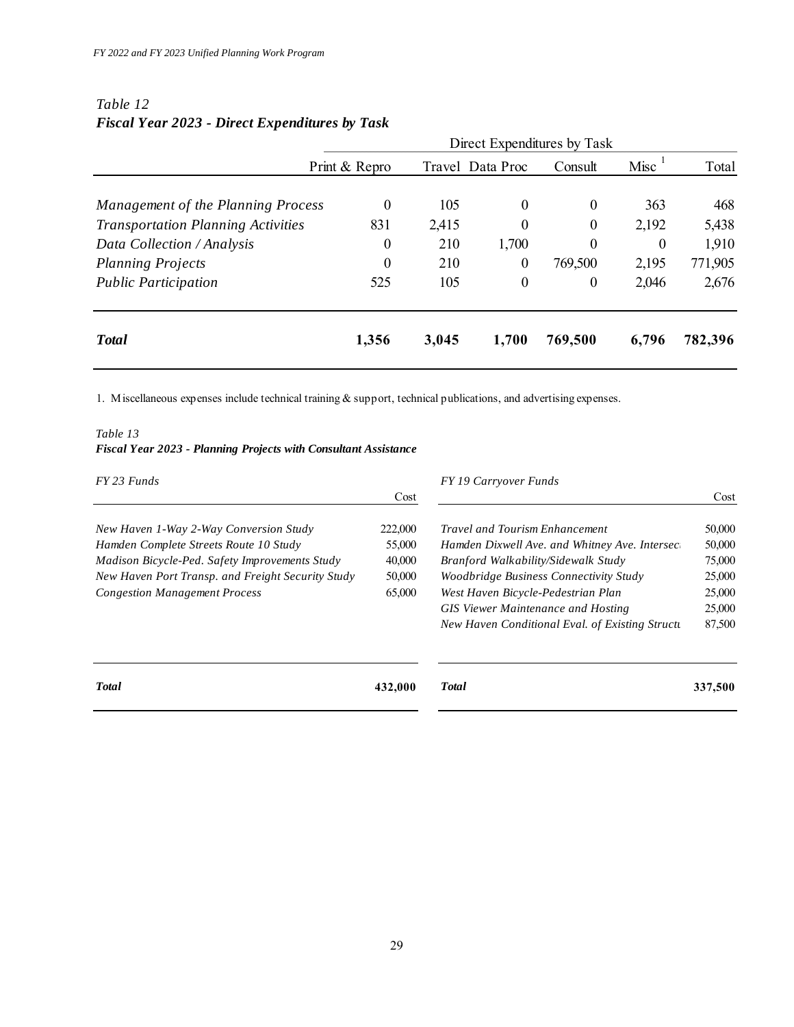|                                           | Direct Expenditures by Task |       |                  |                  |          |         |
|-------------------------------------------|-----------------------------|-------|------------------|------------------|----------|---------|
|                                           | Print & Repro               |       | Travel Data Proc | Consult          | Misc     | Total   |
| Management of the Planning Process        | 0                           | 105   | $\theta$         | $\theta$         | 363      | 468     |
| <b>Transportation Planning Activities</b> | 831                         | 2,415 | $\theta$         | $\theta$         | 2,192    | 5,438   |
| Data Collection / Analysis                | 0                           | 210   | 1,700            | $\theta$         | $\theta$ | 1,910   |
| <b>Planning Projects</b>                  | $\boldsymbol{0}$            | 210   | 0                | 769,500          | 2,195    | 771,905 |
| <b>Public Participation</b>               | 525                         | 105   | $\boldsymbol{0}$ | $\boldsymbol{0}$ | 2,046    | 2,676   |
| <b>Total</b>                              | 1,356                       | 3,045 | 1,700            | 769,500          | 6,796    | 782,396 |

#### *Table 12 Fiscal Year 2023 - Direct Expenditures by Task*

1. Miscellaneous expenses include technical training & support, technical publications, and advertising expenses.

#### *Table 13 Fiscal Year 2023 - Planning Projects with Consultant Assistance*

| FY 23 Funds                                                                                                                                                                                                                     |                                                 | FY 19 Carryover Funds                                                                                                                                                                                          |                                                |
|---------------------------------------------------------------------------------------------------------------------------------------------------------------------------------------------------------------------------------|-------------------------------------------------|----------------------------------------------------------------------------------------------------------------------------------------------------------------------------------------------------------------|------------------------------------------------|
|                                                                                                                                                                                                                                 | Cost                                            |                                                                                                                                                                                                                | Cost                                           |
| New Haven 1-Way 2-Way Conversion Study<br>Hamden Complete Streets Route 10 Study<br>Madison Bicycle-Ped. Safety Improvements Study<br>New Haven Port Transp. and Freight Security Study<br><b>Congestion Management Process</b> | 222,000<br>55,000<br>40,000<br>50,000<br>65,000 | <b>Travel and Tourism Enhancement</b><br>Hamden Dixwell Ave. and Whitney Ave. Intersect<br>Branford Walkability/Sidewalk Study<br>Woodbridge Business Connectivity Study<br>West Haven Bicycle-Pedestrian Plan | 50,000<br>50,000<br>75,000<br>25,000<br>25,000 |
|                                                                                                                                                                                                                                 |                                                 | <b>GIS Viewer Maintenance and Hosting</b><br>New Haven Conditional Eval. of Existing Structu                                                                                                                   | 25,000<br>87,500                               |
| <b>Total</b>                                                                                                                                                                                                                    | 432,000                                         | <b>T</b> otal                                                                                                                                                                                                  | 337,500                                        |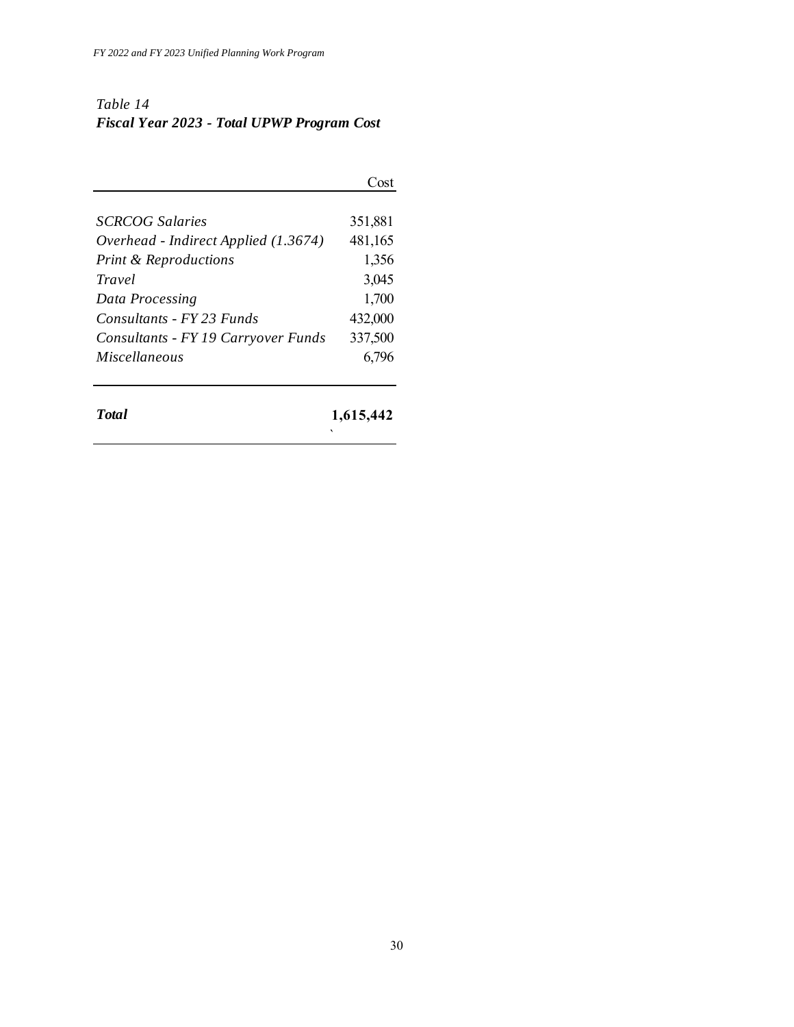## *Table 14 Fiscal Year 2023 - Total UPWP Program Cost*

|                                      | Cost    |
|--------------------------------------|---------|
| <b>SCRCOG</b> Salaries               | 351,881 |
| Overhead - Indirect Applied (1.3674) | 481,165 |
| <b>Print &amp; Reproductions</b>     | 1,356   |
| Travel                               | 3,045   |
| Data Processing                      | 1,700   |
| Consultants - FY 23 Funds            | 432,000 |
| Consultants - FY 19 Carryover Funds  | 337,500 |
| <i>Miscellaneous</i>                 | 6,796   |

*Total* **1,615,442**

`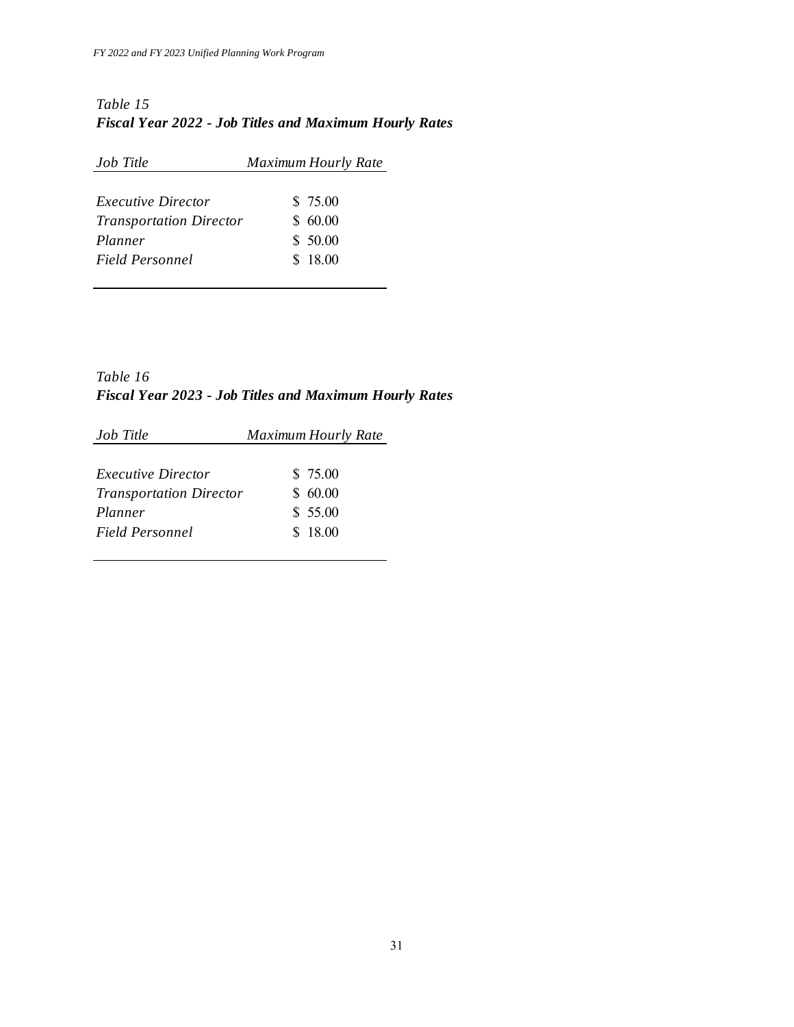### *Table 15 Fiscal Year 2022 - Job Titles and Maximum Hourly Rates*

| Job Title                      | <b>Maximum Hourly Rate</b> |
|--------------------------------|----------------------------|
| <i>Executive Director</i>      | \$ 75.00                   |
| <b>Transportation Director</b> | \$60.00                    |
| Planner                        | \$50.00                    |
| Field Personnel                | \$18.00                    |

*Table 16 Fiscal Year 2023 - Job Titles and Maximum Hourly Rates*

| Job Title                      | <b>Maximum Hourly Rate</b> |
|--------------------------------|----------------------------|
| <i>Executive Director</i>      | \$ 75.00                   |
| <b>Transportation Director</b> | \$60.00                    |
| Planner                        | \$55.00                    |
| Field Personnel                | \$18.00                    |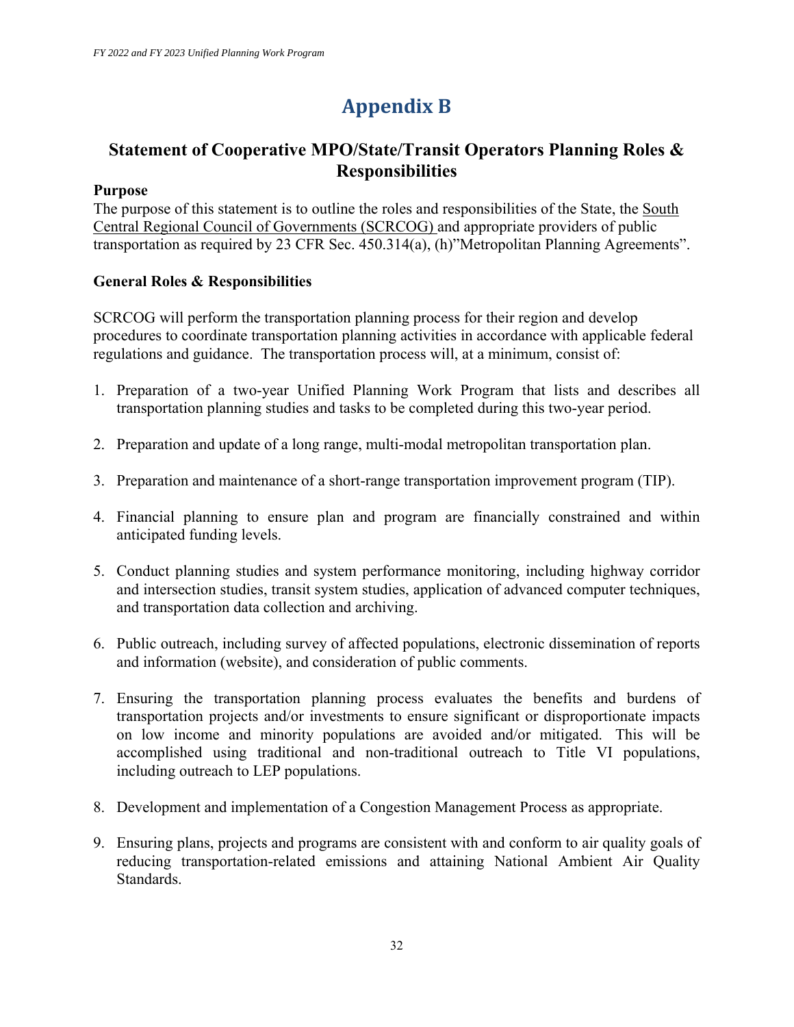# **Appendix B**

## **Statement of Cooperative MPO/State/Transit Operators Planning Roles & Responsibilities**

### **Purpose**

The purpose of this statement is to outline the roles and responsibilities of the State, the South Central Regional Council of Governments (SCRCOG) and appropriate providers of public transportation as required by 23 CFR Sec. 450.314(a), (h)"Metropolitan Planning Agreements".

### **General Roles & Responsibilities**

SCRCOG will perform the transportation planning process for their region and develop procedures to coordinate transportation planning activities in accordance with applicable federal regulations and guidance. The transportation process will, at a minimum, consist of:

- 1. Preparation of a two-year Unified Planning Work Program that lists and describes all transportation planning studies and tasks to be completed during this two-year period.
- 2. Preparation and update of a long range, multi-modal metropolitan transportation plan.
- 3. Preparation and maintenance of a short-range transportation improvement program (TIP).
- 4. Financial planning to ensure plan and program are financially constrained and within anticipated funding levels.
- 5. Conduct planning studies and system performance monitoring, including highway corridor and intersection studies, transit system studies, application of advanced computer techniques, and transportation data collection and archiving.
- 6. Public outreach, including survey of affected populations, electronic dissemination of reports and information (website), and consideration of public comments.
- 7. Ensuring the transportation planning process evaluates the benefits and burdens of transportation projects and/or investments to ensure significant or disproportionate impacts on low income and minority populations are avoided and/or mitigated. This will be accomplished using traditional and non-traditional outreach to Title VI populations, including outreach to LEP populations.
- 8. Development and implementation of a Congestion Management Process as appropriate.
- 9. Ensuring plans, projects and programs are consistent with and conform to air quality goals of reducing transportation-related emissions and attaining National Ambient Air Quality Standards.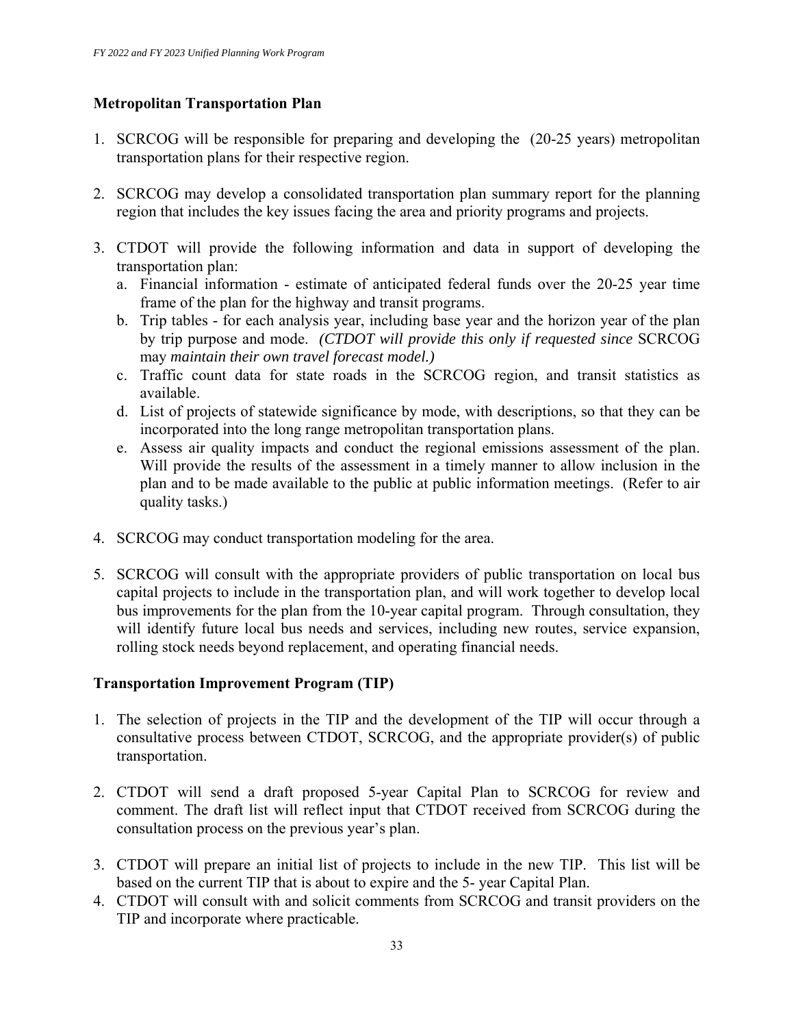#### **Metropolitan Transportation Plan**

- 1. SCRCOG will be responsible for preparing and developing the (20-25 years) metropolitan transportation plans for their respective region.
- 2. SCRCOG may develop a consolidated transportation plan summary report for the planning region that includes the key issues facing the area and priority programs and projects.
- 3. CTDOT will provide the following information and data in support of developing the transportation plan:
	- a. Financial information estimate of anticipated federal funds over the 20-25 year time frame of the plan for the highway and transit programs.
	- b. Trip tables for each analysis year, including base year and the horizon year of the plan by trip purpose and mode. *(CTDOT will provide this only if requested since* SCRCOG may *maintain their own travel forecast model.)*
	- c. Traffic count data for state roads in the SCRCOG region, and transit statistics as available.
	- d. List of projects of statewide significance by mode, with descriptions, so that they can be incorporated into the long range metropolitan transportation plans.
	- e. Assess air quality impacts and conduct the regional emissions assessment of the plan. Will provide the results of the assessment in a timely manner to allow inclusion in the plan and to be made available to the public at public information meetings. (Refer to air quality tasks.)
- 4. SCRCOG may conduct transportation modeling for the area.
- 5. SCRCOG will consult with the appropriate providers of public transportation on local bus capital projects to include in the transportation plan, and will work together to develop local bus improvements for the plan from the 10-year capital program. Through consultation, they will identify future local bus needs and services, including new routes, service expansion, rolling stock needs beyond replacement, and operating financial needs.

#### **Transportation Improvement Program (TIP)**

- 1. The selection of projects in the TIP and the development of the TIP will occur through a consultative process between CTDOT, SCRCOG, and the appropriate provider(s) of public transportation.
- 2. CTDOT will send a draft proposed 5-year Capital Plan to SCRCOG for review and comment. The draft list will reflect input that CTDOT received from SCRCOG during the consultation process on the previous year's plan.
- 3. CTDOT will prepare an initial list of projects to include in the new TIP. This list will be based on the current TIP that is about to expire and the 5- year Capital Plan.
- 4. CTDOT will consult with and solicit comments from SCRCOG and transit providers on the TIP and incorporate where practicable.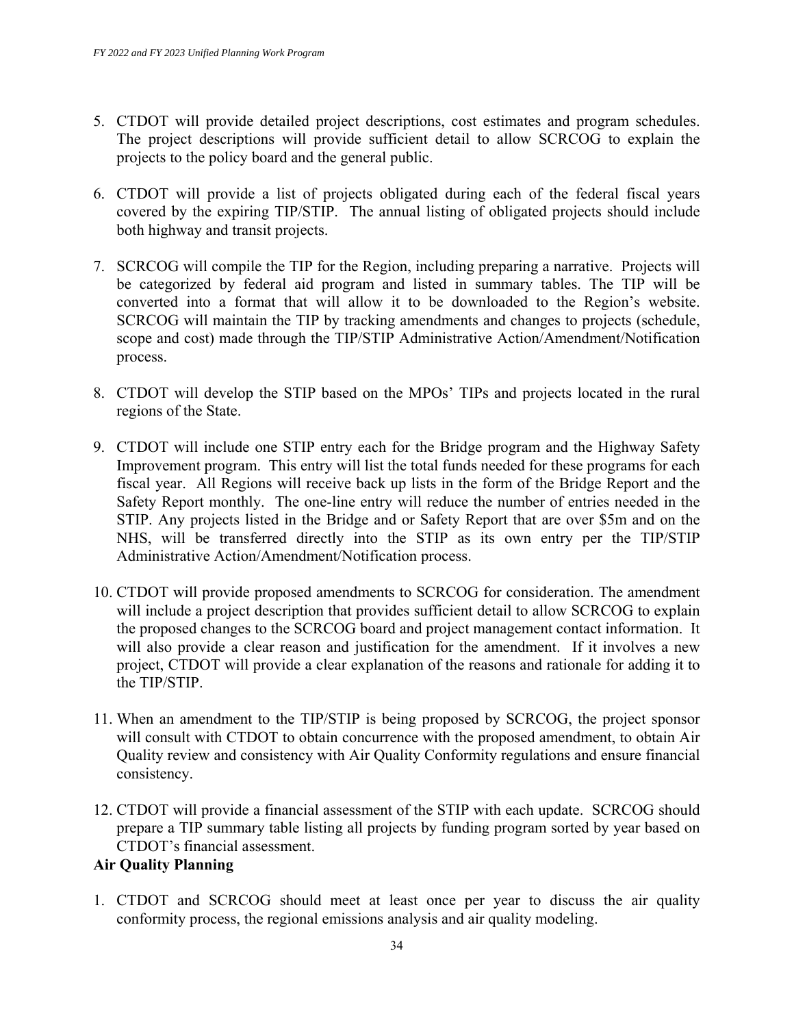- 5. CTDOT will provide detailed project descriptions, cost estimates and program schedules. The project descriptions will provide sufficient detail to allow SCRCOG to explain the projects to the policy board and the general public.
- 6. CTDOT will provide a list of projects obligated during each of the federal fiscal years covered by the expiring TIP/STIP. The annual listing of obligated projects should include both highway and transit projects.
- 7. SCRCOG will compile the TIP for the Region, including preparing a narrative. Projects will be categorized by federal aid program and listed in summary tables. The TIP will be converted into a format that will allow it to be downloaded to the Region's website. SCRCOG will maintain the TIP by tracking amendments and changes to projects (schedule, scope and cost) made through the TIP/STIP Administrative Action/Amendment/Notification process.
- 8. CTDOT will develop the STIP based on the MPOs' TIPs and projects located in the rural regions of the State.
- 9. CTDOT will include one STIP entry each for the Bridge program and the Highway Safety Improvement program. This entry will list the total funds needed for these programs for each fiscal year. All Regions will receive back up lists in the form of the Bridge Report and the Safety Report monthly. The one-line entry will reduce the number of entries needed in the STIP. Any projects listed in the Bridge and or Safety Report that are over \$5m and on the NHS, will be transferred directly into the STIP as its own entry per the TIP/STIP Administrative Action/Amendment/Notification process.
- 10. CTDOT will provide proposed amendments to SCRCOG for consideration. The amendment will include a project description that provides sufficient detail to allow SCRCOG to explain the proposed changes to the SCRCOG board and project management contact information. It will also provide a clear reason and justification for the amendment. If it involves a new project, CTDOT will provide a clear explanation of the reasons and rationale for adding it to the TIP/STIP.
- 11. When an amendment to the TIP/STIP is being proposed by SCRCOG, the project sponsor will consult with CTDOT to obtain concurrence with the proposed amendment, to obtain Air Quality review and consistency with Air Quality Conformity regulations and ensure financial consistency.
- 12. CTDOT will provide a financial assessment of the STIP with each update. SCRCOG should prepare a TIP summary table listing all projects by funding program sorted by year based on CTDOT's financial assessment.

### **Air Quality Planning**

1. CTDOT and SCRCOG should meet at least once per year to discuss the air quality conformity process, the regional emissions analysis and air quality modeling.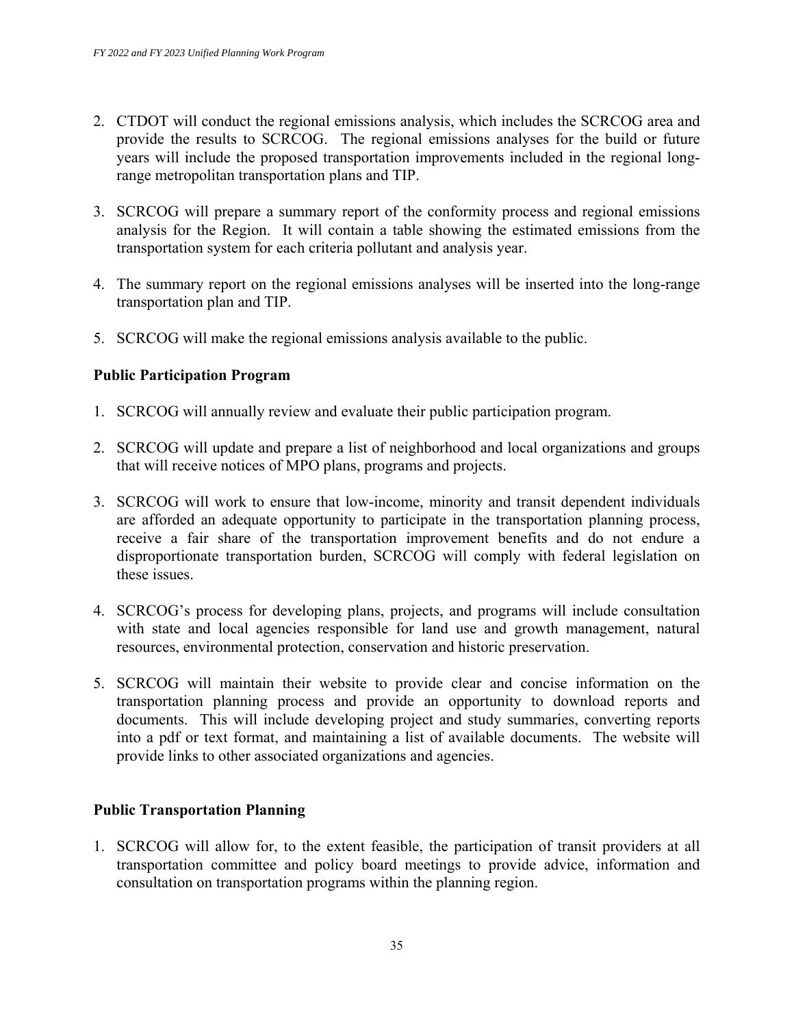- 2. CTDOT will conduct the regional emissions analysis, which includes the SCRCOG area and provide the results to SCRCOG. The regional emissions analyses for the build or future years will include the proposed transportation improvements included in the regional longrange metropolitan transportation plans and TIP.
- 3. SCRCOG will prepare a summary report of the conformity process and regional emissions analysis for the Region. It will contain a table showing the estimated emissions from the transportation system for each criteria pollutant and analysis year.
- 4. The summary report on the regional emissions analyses will be inserted into the long-range transportation plan and TIP.
- 5. SCRCOG will make the regional emissions analysis available to the public.

#### **Public Participation Program**

- 1. SCRCOG will annually review and evaluate their public participation program.
- 2. SCRCOG will update and prepare a list of neighborhood and local organizations and groups that will receive notices of MPO plans, programs and projects.
- 3. SCRCOG will work to ensure that low-income, minority and transit dependent individuals are afforded an adequate opportunity to participate in the transportation planning process, receive a fair share of the transportation improvement benefits and do not endure a disproportionate transportation burden, SCRCOG will comply with federal legislation on these issues.
- 4. SCRCOG's process for developing plans, projects, and programs will include consultation with state and local agencies responsible for land use and growth management, natural resources, environmental protection, conservation and historic preservation.
- 5. SCRCOG will maintain their website to provide clear and concise information on the transportation planning process and provide an opportunity to download reports and documents. This will include developing project and study summaries, converting reports into a pdf or text format, and maintaining a list of available documents. The website will provide links to other associated organizations and agencies.

#### **Public Transportation Planning**

1. SCRCOG will allow for, to the extent feasible, the participation of transit providers at all transportation committee and policy board meetings to provide advice, information and consultation on transportation programs within the planning region.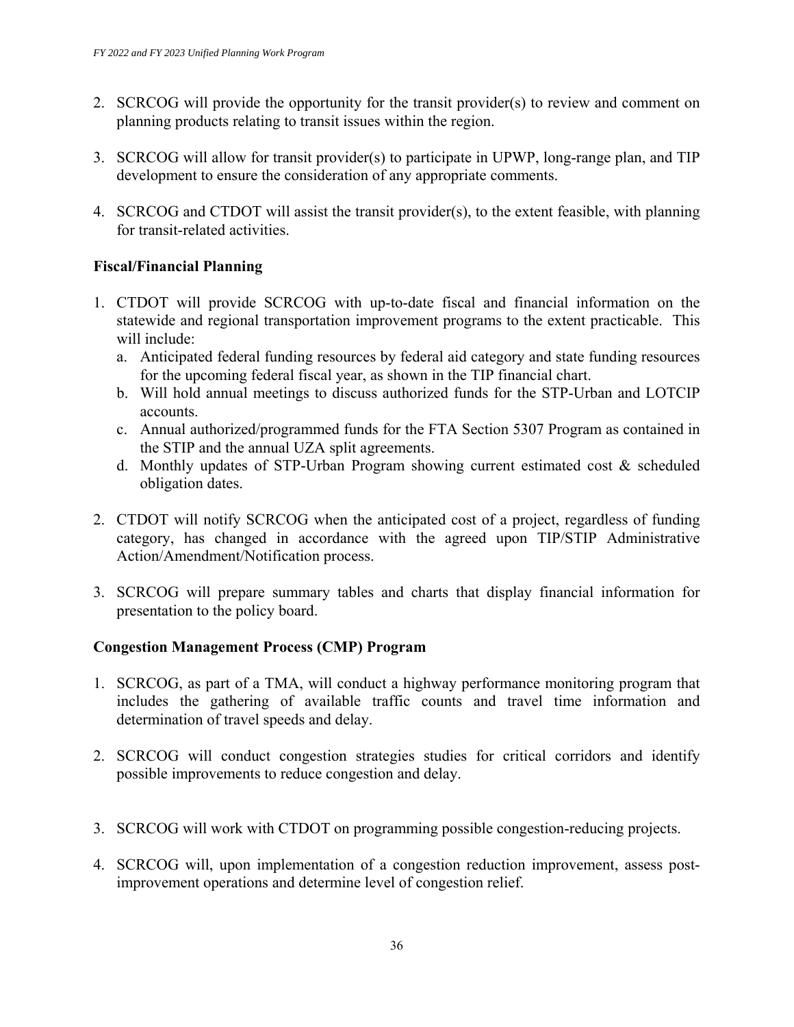- 2. SCRCOG will provide the opportunity for the transit provider(s) to review and comment on planning products relating to transit issues within the region.
- 3. SCRCOG will allow for transit provider(s) to participate in UPWP, long-range plan, and TIP development to ensure the consideration of any appropriate comments.
- 4. SCRCOG and CTDOT will assist the transit provider(s), to the extent feasible, with planning for transit-related activities.

### **Fiscal/Financial Planning**

- 1. CTDOT will provide SCRCOG with up-to-date fiscal and financial information on the statewide and regional transportation improvement programs to the extent practicable. This will include:
	- a. Anticipated federal funding resources by federal aid category and state funding resources for the upcoming federal fiscal year, as shown in the TIP financial chart.
	- b. Will hold annual meetings to discuss authorized funds for the STP-Urban and LOTCIP accounts.
	- c. Annual authorized/programmed funds for the FTA Section 5307 Program as contained in the STIP and the annual UZA split agreements.
	- d. Monthly updates of STP-Urban Program showing current estimated cost & scheduled obligation dates.
- 2. CTDOT will notify SCRCOG when the anticipated cost of a project, regardless of funding category, has changed in accordance with the agreed upon TIP/STIP Administrative Action/Amendment/Notification process.
- 3. SCRCOG will prepare summary tables and charts that display financial information for presentation to the policy board.

### **Congestion Management Process (CMP) Program**

- 1. SCRCOG, as part of a TMA, will conduct a highway performance monitoring program that includes the gathering of available traffic counts and travel time information and determination of travel speeds and delay.
- 2. SCRCOG will conduct congestion strategies studies for critical corridors and identify possible improvements to reduce congestion and delay.
- 3. SCRCOG will work with CTDOT on programming possible congestion-reducing projects.
- 4. SCRCOG will, upon implementation of a congestion reduction improvement, assess postimprovement operations and determine level of congestion relief.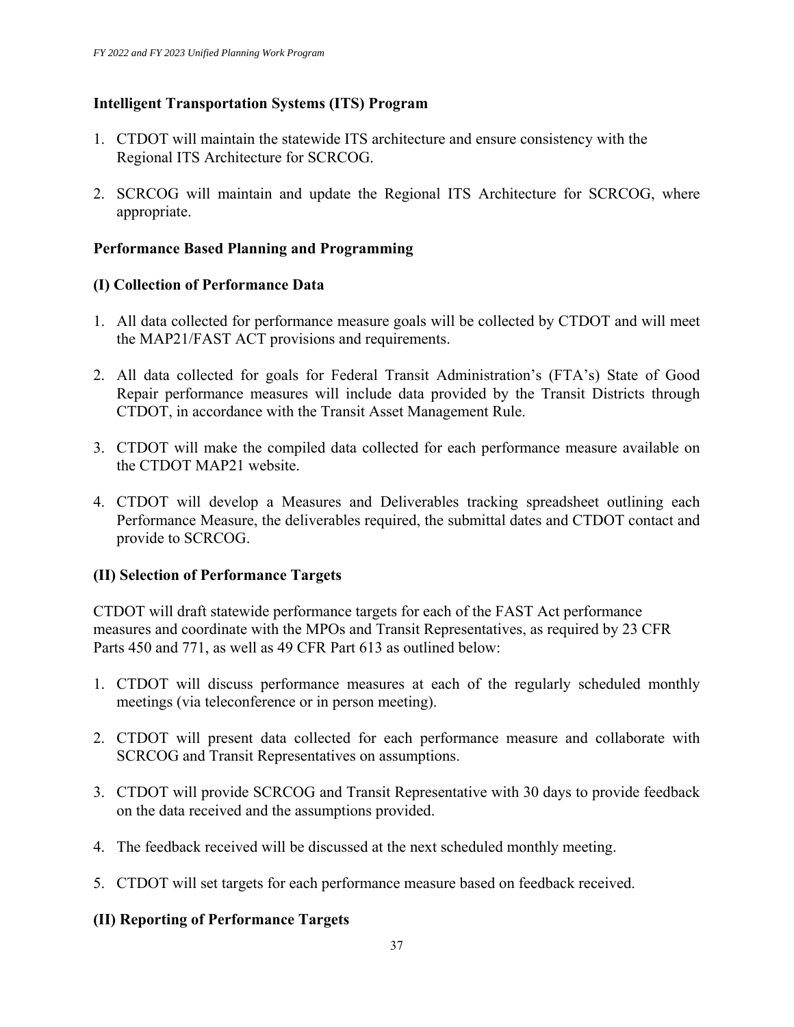### **Intelligent Transportation Systems (ITS) Program**

- 1. CTDOT will maintain the statewide ITS architecture and ensure consistency with the Regional ITS Architecture for SCRCOG.
- 2. SCRCOG will maintain and update the Regional ITS Architecture for SCRCOG, where appropriate.

#### **Performance Based Planning and Programming**

#### **(I) Collection of Performance Data**

- 1. All data collected for performance measure goals will be collected by CTDOT and will meet the MAP21/FAST ACT provisions and requirements.
- 2. All data collected for goals for Federal Transit Administration's (FTA's) State of Good Repair performance measures will include data provided by the Transit Districts through CTDOT, in accordance with the Transit Asset Management Rule.
- 3. CTDOT will make the compiled data collected for each performance measure available on the CTDOT MAP21 website.
- 4. CTDOT will develop a Measures and Deliverables tracking spreadsheet outlining each Performance Measure, the deliverables required, the submittal dates and CTDOT contact and provide to SCRCOG.

#### **(II) Selection of Performance Targets**

CTDOT will draft statewide performance targets for each of the FAST Act performance measures and coordinate with the MPOs and Transit Representatives, as required by 23 CFR Parts 450 and 771, as well as 49 CFR Part 613 as outlined below:

- 1. CTDOT will discuss performance measures at each of the regularly scheduled monthly meetings (via teleconference or in person meeting).
- 2. CTDOT will present data collected for each performance measure and collaborate with SCRCOG and Transit Representatives on assumptions.
- 3. CTDOT will provide SCRCOG and Transit Representative with 30 days to provide feedback on the data received and the assumptions provided.
- 4. The feedback received will be discussed at the next scheduled monthly meeting.
- 5. CTDOT will set targets for each performance measure based on feedback received.

#### **(II) Reporting of Performance Targets**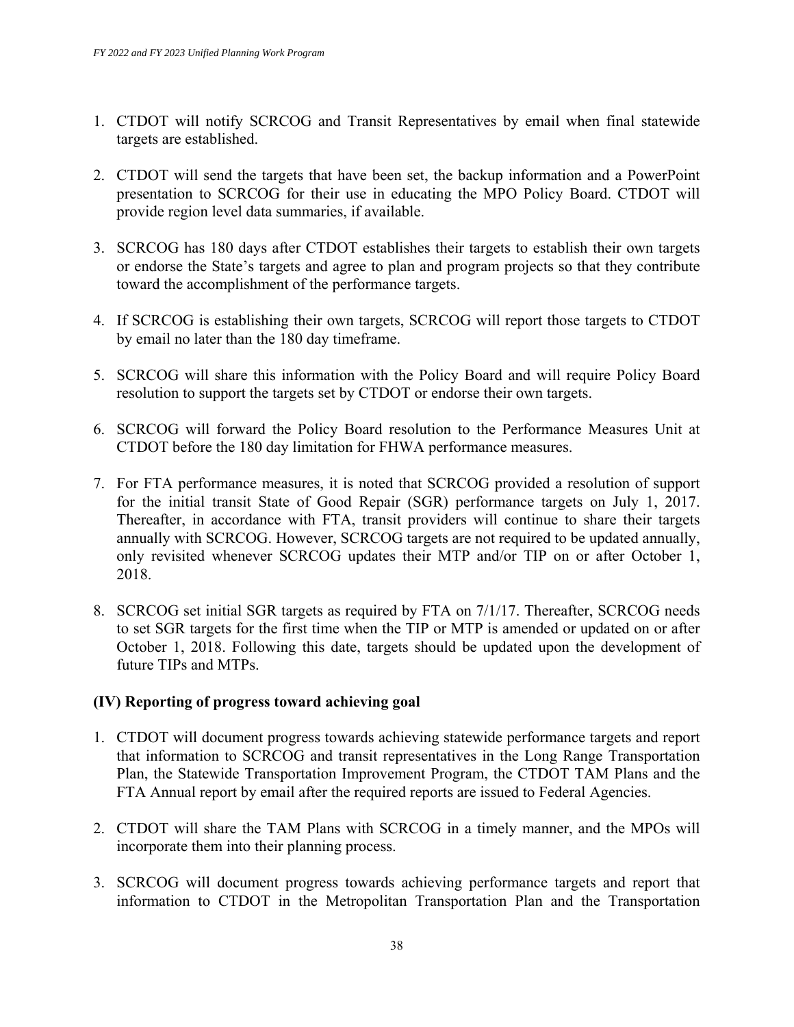- 1. CTDOT will notify SCRCOG and Transit Representatives by email when final statewide targets are established.
- 2. CTDOT will send the targets that have been set, the backup information and a PowerPoint presentation to SCRCOG for their use in educating the MPO Policy Board. CTDOT will provide region level data summaries, if available.
- 3. SCRCOG has 180 days after CTDOT establishes their targets to establish their own targets or endorse the State's targets and agree to plan and program projects so that they contribute toward the accomplishment of the performance targets.
- 4. If SCRCOG is establishing their own targets, SCRCOG will report those targets to CTDOT by email no later than the 180 day timeframe.
- 5. SCRCOG will share this information with the Policy Board and will require Policy Board resolution to support the targets set by CTDOT or endorse their own targets.
- 6. SCRCOG will forward the Policy Board resolution to the Performance Measures Unit at CTDOT before the 180 day limitation for FHWA performance measures.
- 7. For FTA performance measures, it is noted that SCRCOG provided a resolution of support for the initial transit State of Good Repair (SGR) performance targets on July 1, 2017. Thereafter, in accordance with FTA, transit providers will continue to share their targets annually with SCRCOG. However, SCRCOG targets are not required to be updated annually, only revisited whenever SCRCOG updates their MTP and/or TIP on or after October 1, 2018.
- 8. SCRCOG set initial SGR targets as required by FTA on 7/1/17. Thereafter, SCRCOG needs to set SGR targets for the first time when the TIP or MTP is amended or updated on or after October 1, 2018. Following this date, targets should be updated upon the development of future TIPs and MTPs.

#### **(IV) Reporting of progress toward achieving goal**

- 1. CTDOT will document progress towards achieving statewide performance targets and report that information to SCRCOG and transit representatives in the Long Range Transportation Plan, the Statewide Transportation Improvement Program, the CTDOT TAM Plans and the FTA Annual report by email after the required reports are issued to Federal Agencies.
- 2. CTDOT will share the TAM Plans with SCRCOG in a timely manner, and the MPOs will incorporate them into their planning process.
- 3. SCRCOG will document progress towards achieving performance targets and report that information to CTDOT in the Metropolitan Transportation Plan and the Transportation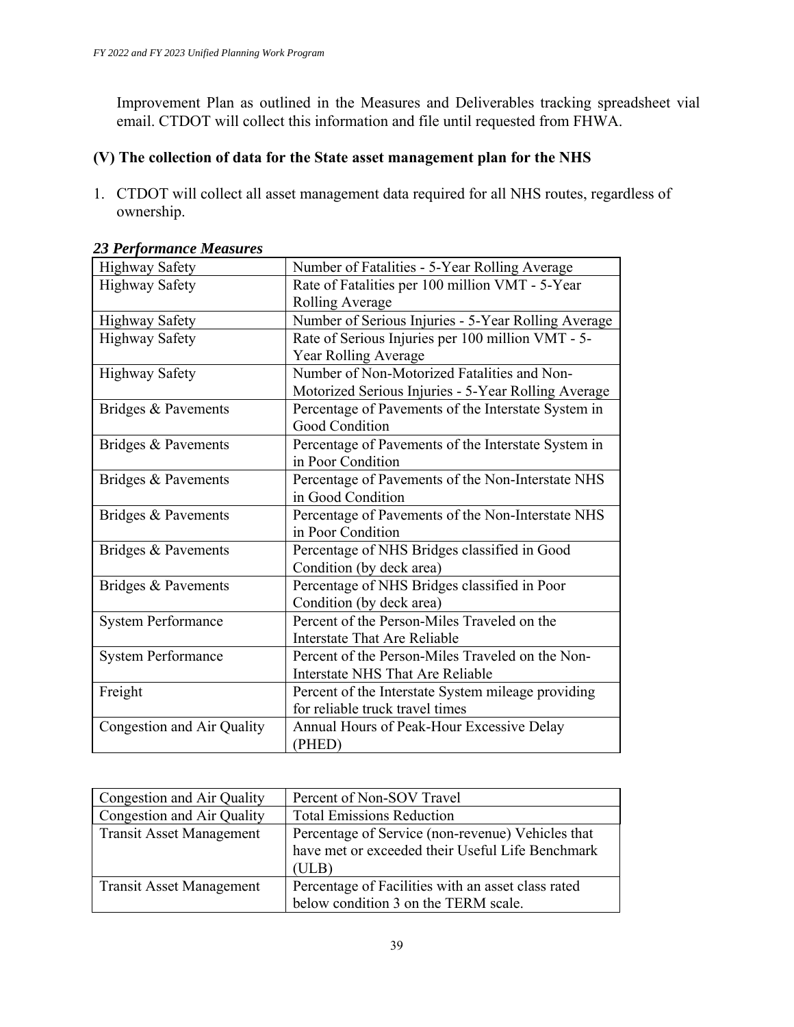Improvement Plan as outlined in the Measures and Deliverables tracking spreadsheet vial email. CTDOT will collect this information and file until requested from FHWA.

## **(V) The collection of data for the State asset management plan for the NHS**

1. CTDOT will collect all asset management data required for all NHS routes, regardless of ownership.

| <b>Highway Safety</b>      | Number of Fatalities - 5-Year Rolling Average       |
|----------------------------|-----------------------------------------------------|
| <b>Highway Safety</b>      | Rate of Fatalities per 100 million VMT - 5-Year     |
|                            | <b>Rolling Average</b>                              |
| <b>Highway Safety</b>      | Number of Serious Injuries - 5-Year Rolling Average |
| <b>Highway Safety</b>      | Rate of Serious Injuries per 100 million VMT - 5-   |
|                            | Year Rolling Average                                |
| <b>Highway Safety</b>      | Number of Non-Motorized Fatalities and Non-         |
|                            | Motorized Serious Injuries - 5-Year Rolling Average |
| Bridges & Pavements        | Percentage of Pavements of the Interstate System in |
|                            | Good Condition                                      |
| Bridges & Pavements        | Percentage of Pavements of the Interstate System in |
|                            | in Poor Condition                                   |
| Bridges & Pavements        | Percentage of Pavements of the Non-Interstate NHS   |
|                            | in Good Condition                                   |
| Bridges & Pavements        | Percentage of Pavements of the Non-Interstate NHS   |
|                            | in Poor Condition                                   |
| Bridges & Pavements        | Percentage of NHS Bridges classified in Good        |
|                            | Condition (by deck area)                            |
| Bridges & Pavements        | Percentage of NHS Bridges classified in Poor        |
|                            | Condition (by deck area)                            |
| <b>System Performance</b>  | Percent of the Person-Miles Traveled on the         |
|                            | Interstate That Are Reliable                        |
| <b>System Performance</b>  | Percent of the Person-Miles Traveled on the Non-    |
|                            | Interstate NHS That Are Reliable                    |
| Freight                    | Percent of the Interstate System mileage providing  |
|                            | for reliable truck travel times                     |
| Congestion and Air Quality | Annual Hours of Peak-Hour Excessive Delay           |
|                            | (PHED)                                              |

#### *23 Performance Measures*

| Congestion and Air Quality      | Percent of Non-SOV Travel                          |
|---------------------------------|----------------------------------------------------|
| Congestion and Air Quality      | <b>Total Emissions Reduction</b>                   |
| Transit Asset Management        | Percentage of Service (non-revenue) Vehicles that  |
|                                 | have met or exceeded their Useful Life Benchmark   |
|                                 | (ULB)                                              |
| <b>Transit Asset Management</b> | Percentage of Facilities with an asset class rated |
|                                 | below condition 3 on the TERM scale.               |